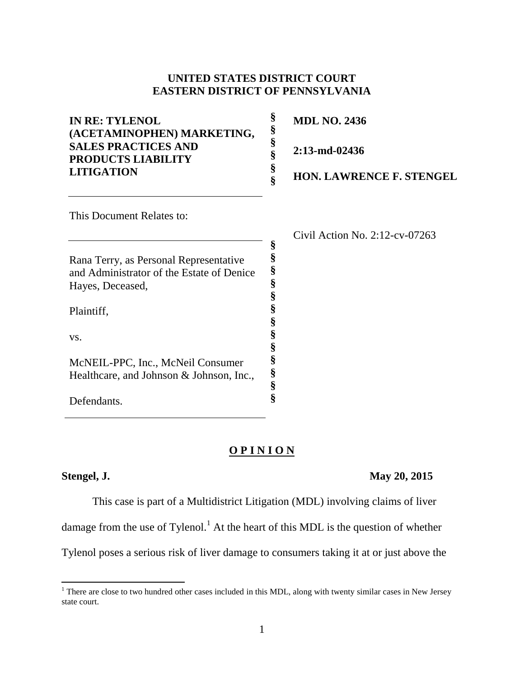## **UNITED STATES DISTRICT COURT EASTERN DISTRICT OF PENNSYLVANIA**

| <b>IN RE: TYLENOL</b><br>(ACETAMINOPHEN) MARKETING,<br><b>SALES PRACTICES AND</b><br><b>PRODUCTS LIABILITY</b><br><b>LITIGATION</b> | €<br>8 | <b>MDL NO. 2436</b>             |
|-------------------------------------------------------------------------------------------------------------------------------------|--------|---------------------------------|
|                                                                                                                                     | 8      | $2:13$ -md-02436                |
|                                                                                                                                     | Š      | <b>HON. LAWRENCE F. STENGEL</b> |
| This Document Relates to:                                                                                                           |        |                                 |

**§ § § § § § § § § § § § §**

Rana Terry, as Personal Representative and Administrator of the Estate of Denice Hayes, Deceased,

Plaintiff,

vs.

McNEIL-PPC, Inc., McNeil Consumer Healthcare, and Johnson & Johnson, Inc.,

Defendants.

Civil Action No. 2:12-cv-07263

#### **O P I N I O N**

 $\overline{\phantom{a}}$ 

## **Stengel, J. May 20, 2015**

This case is part of a Multidistrict Litigation (MDL) involving claims of liver

damage from the use of Tylenol.<sup>1</sup> At the heart of this MDL is the question of whether

Tylenol poses a serious risk of liver damage to consumers taking it at or just above the

<sup>&</sup>lt;sup>1</sup> There are close to two hundred other cases included in this MDL, along with twenty similar cases in New Jersey state court.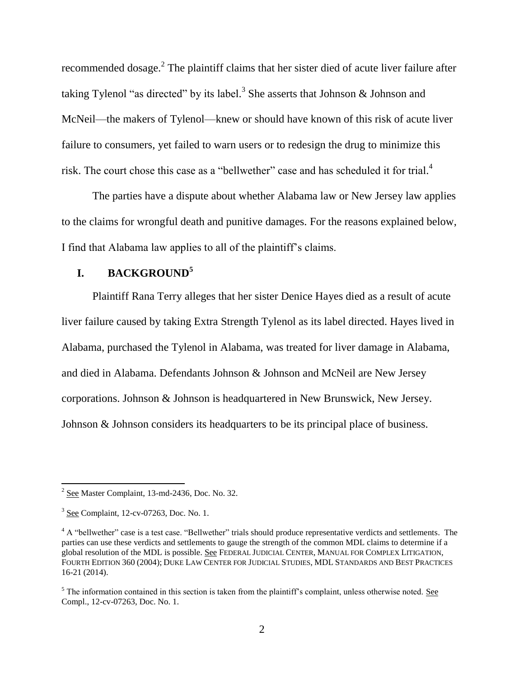recommended dosage.<sup>2</sup> The plaintiff claims that her sister died of acute liver failure after taking Tylenol "as directed" by its label.<sup>3</sup> She asserts that Johnson & Johnson and McNeil—the makers of Tylenol—knew or should have known of this risk of acute liver failure to consumers, yet failed to warn users or to redesign the drug to minimize this risk. The court chose this case as a "bellwether" case and has scheduled it for trial.<sup>4</sup>

The parties have a dispute about whether Alabama law or New Jersey law applies to the claims for wrongful death and punitive damages. For the reasons explained below, I find that Alabama law applies to all of the plaintiff's claims.

## **I. BACKGROUND<sup>5</sup>**

Plaintiff Rana Terry alleges that her sister Denice Hayes died as a result of acute liver failure caused by taking Extra Strength Tylenol as its label directed. Hayes lived in Alabama, purchased the Tylenol in Alabama, was treated for liver damage in Alabama, and died in Alabama. Defendants Johnson & Johnson and McNeil are New Jersey corporations. Johnson & Johnson is headquartered in New Brunswick, New Jersey. Johnson & Johnson considers its headquarters to be its principal place of business.

 $2^{2}$  See Master Complaint, 13-md-2436, Doc. No. 32.

 $3$  See Complaint, 12-cv-07263, Doc. No. 1.

<sup>&</sup>lt;sup>4</sup> A "bellwether" case is a test case. "Bellwether" trials should produce representative verdicts and settlements. The parties can use these verdicts and settlements to gauge the strength of the common MDL claims to determine if a global resolution of the MDL is possible. See FEDERAL JUDICIAL CENTER, MANUAL FOR COMPLEX LITIGATION, FOURTH EDITION 360 (2004); DUKE LAW CENTER FOR JUDICIAL STUDIES, MDL STANDARDS AND BEST PRACTICES 16-21 (2014).

 $<sup>5</sup>$  The information contained in this section is taken from the plaintiff's complaint, unless otherwise noted. See</sup> Compl., 12-cv-07263, Doc. No. 1.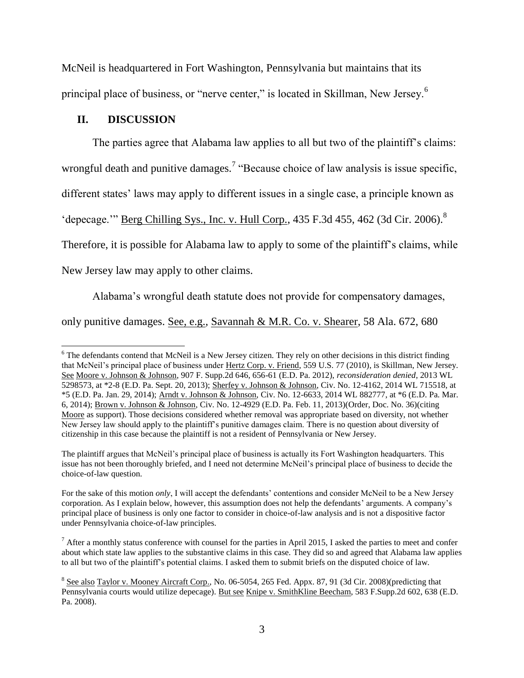McNeil is headquartered in Fort Washington, Pennsylvania but maintains that its principal place of business, or "nerve center," is located in Skillman, New Jersey.<sup>6</sup>

## **II. DISCUSSION**

l

The parties agree that Alabama law applies to all but two of the plaintiff's claims:

wrongful death and punitive damages.<sup>7</sup> "Because choice of law analysis is issue specific,

different states' laws may apply to different issues in a single case, a principle known as

'depecage.'" Berg Chilling Sys., Inc. v. Hull Corp., 435 F.3d 455, 462 (3d Cir. 2006).<sup>8</sup>

Therefore, it is possible for Alabama law to apply to some of the plaintiff's claims, while

New Jersey law may apply to other claims.

Alabama's wrongful death statute does not provide for compensatory damages,

only punitive damages. See, e.g., Savannah & M.R. Co. v. Shearer, 58 Ala. 672, 680

<sup>&</sup>lt;sup>6</sup> The defendants contend that McNeil is a New Jersey citizen. They rely on other decisions in this district finding that McNeil's principal place of business under Hertz Corp. v. Friend, 559 U.S. 77 (2010), is Skillman, New Jersey. See Moore v. Johnson & Johnson, 907 F. Supp.2d 646, 656-61 (E.D. Pa. 2012), *reconsideration denied*, 2013 WL 5298573, at \*2-8 (E.D. Pa. Sept. 20, 2013); Sherfey v. Johnson & Johnson, Civ. No. 12-4162, 2014 WL 715518, at \*5 (E.D. Pa. Jan. 29, 2014); Arndt v. Johnson & Johnson, Civ. No. 12-6633, 2014 WL 882777, at \*6 (E.D. Pa. Mar. 6, 2014); Brown v. Johnson & Johnson*,* Civ. No. 12-4929 (E.D. Pa. Feb. 11, 2013)(Order, Doc. No. 36)(citing Moore as support). Those decisions considered whether removal was appropriate based on diversity, not whether New Jersey law should apply to the plaintiff's punitive damages claim. There is no question about diversity of citizenship in this case because the plaintiff is not a resident of Pennsylvania or New Jersey.

The plaintiff argues that McNeil's principal place of business is actually its Fort Washington headquarters. This issue has not been thoroughly briefed, and I need not determine McNeil's principal place of business to decide the choice-of-law question.

For the sake of this motion *only*, I will accept the defendants' contentions and consider McNeil to be a New Jersey corporation. As I explain below, however, this assumption does not help the defendants' arguments. A company's principal place of business is only one factor to consider in choice-of-law analysis and is not a dispositive factor under Pennsylvania choice-of-law principles.

 $<sup>7</sup>$  After a monthly status conference with counsel for the parties in April 2015, I asked the parties to meet and confer</sup> about which state law applies to the substantive claims in this case. They did so and agreed that Alabama law applies to all but two of the plaintiff's potential claims. I asked them to submit briefs on the disputed choice of law.

 $8$  See also Taylor v. Mooney Aircraft Corp., No. 06-5054, 265 Fed. Appx. 87, 91 (3d Cir. 2008)(predicting that Pennsylvania courts would utilize depecage). But see Knipe v. SmithKline Beecham, 583 F.Supp.2d 602, 638 (E.D. Pa. 2008).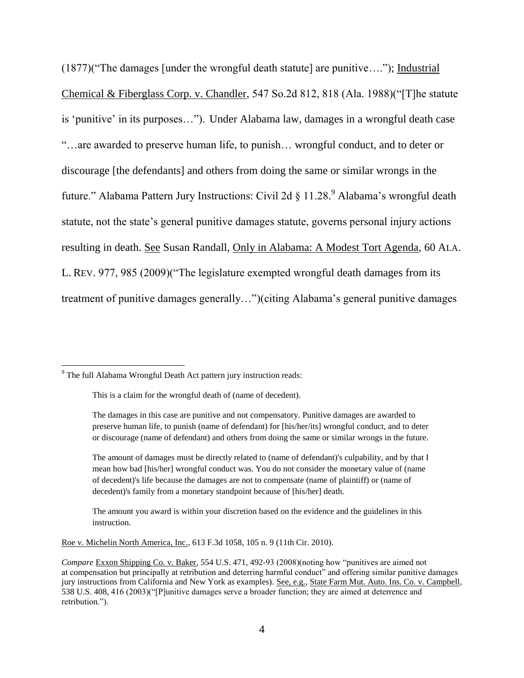(1877)("The damages [under the wrongful death statute] are punitive…."); Industrial Chemical & Fiberglass Corp. v. Chandler, 547 So.2d 812, 818 (Ala. 1988)("[T]he statute is 'punitive' in its purposes…"). Under Alabama law, damages in a wrongful death case "…are awarded to preserve human life, to punish… wrongful conduct, and to deter or discourage [the defendants] and others from doing the same or similar wrongs in the future." Alabama Pattern Jury Instructions: Civil 2d § 11.28.<sup>9</sup> Alabama's wrongful death statute, not the state's general punitive damages statute, governs personal injury actions resulting in death. See Susan Randall, Only in Alabama: A Modest Tort Agenda, 60 ALA. L. REV. 977, 985 (2009)("The legislature exempted wrongful death damages from its treatment of punitive damages generally…")(citing Alabama's general punitive damages

 $\overline{a}$ 

The amount you award is within your discretion based on the evidence and the guidelines in this instruction.

Roe v. Michelin North America, Inc., 613 F.3d 1058, 105 n. 9 (11th Cir. 2010).

<sup>&</sup>lt;sup>9</sup> The full Alabama Wrongful Death Act pattern jury instruction reads:

This is a claim for the wrongful death of (name of decedent).

The damages in this case are punitive and not compensatory. Punitive damages are awarded to preserve human life, to punish (name of defendant) for [his/her/its] wrongful conduct, and to deter or discourage (name of defendant) and others from doing the same or similar wrongs in the future.

The amount of damages must be directly related to (name of defendant)'s culpability, and by that I mean how bad [his/her] wrongful conduct was. You do not consider the monetary value of (name of decedent)'s life because the damages are not to compensate (name of plaintiff) or (name of decedent)'s family from a monetary standpoint because of [his/her] death.

*Compare* Exxon Shipping Co. v. Baker, 554 U.S. 471, 492-93 (2008)(noting how "punitives are aimed not at compensation but principally at retribution and deterring harmful conduct" and offering similar punitive damages jury instructions from California and New York as examples). See, e.g., State Farm Mut. Auto. Ins. Co. v. Campbell, 538 U.S. 408, 416 (2003)("[P]unitive damages serve a broader function; they are aimed at deterrence and retribution.").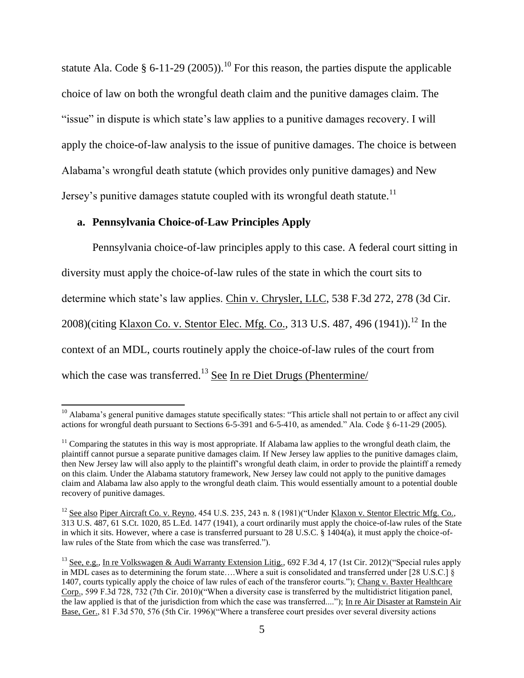statute Ala. Code § 6-11-29 (2005)).<sup>10</sup> For this reason, the parties dispute the applicable choice of law on both the wrongful death claim and the punitive damages claim. The "issue" in dispute is which state's law applies to a punitive damages recovery. I will apply the choice-of-law analysis to the issue of punitive damages. The choice is between Alabama's wrongful death statute (which provides only punitive damages) and New Jersey's punitive damages statute coupled with its wrongful death statute.<sup>11</sup>

# **a. Pennsylvania Choice-of-Law Principles Apply**

l

Pennsylvania choice-of-law principles apply to this case. A federal court sitting in diversity must apply the choice-of-law rules of the state in which the court sits to determine which state's law applies. Chin v. Chrysler, LLC, 538 F.3d 272, 278 (3d Cir. 2008)(citing Klaxon Co. v. Stentor Elec. Mfg. Co., 313 U.S. 487, 496 (1941)).<sup>12</sup> In the context of an MDL, courts routinely apply the choice-of-law rules of the court from which the case was transferred.<sup>13</sup> See In re Diet Drugs (Phentermine/

<sup>&</sup>lt;sup>10</sup> Alabama's general punitive damages statute specifically states: "This article shall not pertain to or affect any civil actions for wrongful death pursuant to Sections 6-5-391 and 6-5-410, as amended." Ala. Code § 6-11-29 (2005).

 $11$  Comparing the statutes in this way is most appropriate. If Alabama law applies to the wrongful death claim, the plaintiff cannot pursue a separate punitive damages claim. If New Jersey law applies to the punitive damages claim, then New Jersey law will also apply to the plaintiff's wrongful death claim, in order to provide the plaintiff a remedy on this claim. Under the Alabama statutory framework, New Jersey law could not apply to the punitive damages claim and Alabama law also apply to the wrongful death claim. This would essentially amount to a potential double recovery of punitive damages.

 $12$  See also Piper Aircraft Co. v. Reyno, 454 U.S. 235, 243 n. 8 (1981)("Under Klaxon v. Stentor Electric Mfg. Co., 313 U.S. 487, 61 S.Ct. 1020, 85 L.Ed. 1477 (1941), a court ordinarily must apply the choice-of-law rules of the State in which it sits. However, where a case is transferred pursuant to 28 U.S.C.  $\S$  1404(a), it must apply the choice-oflaw rules of the State from which the case was transferred.").

<sup>&</sup>lt;sup>13</sup> See, e.g., In re Volkswagen & Audi Warranty Extension Litig., 692 F.3d 4, 17 (1st Cir. 2012)("Special rules apply in MDL cases as to determining the forum state….Where a suit is consolidated and transferred under [28 U.S.C.] § 1407, courts typically apply the choice of law rules of each of the transferor courts."); Chang v. Baxter Healthcare Corp., 599 F.3d 728, 732 (7th Cir. 2010)("When a diversity case is transferred by the multidistrict litigation panel, the law applied is that of the jurisdiction from which the case was transferred...."); In re Air Disaster at Ramstein Air Base, Ger., 81 F.3d 570, 576 (5th Cir. 1996)("Where a transferee court presides over several diversity actions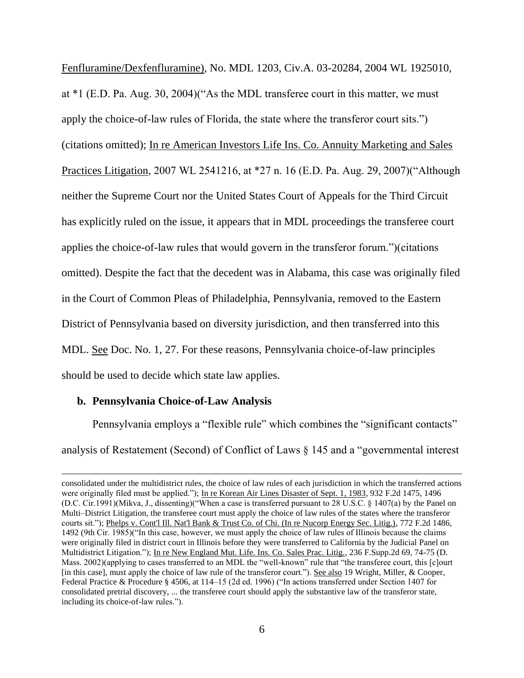Fenfluramine/Dexfenfluramine), No. MDL 1203, Civ.A. 03-20284, 2004 WL 1925010, at \*1 (E.D. Pa. Aug. 30, 2004)("As the MDL transferee court in this matter, we must apply the choice-of-law rules of Florida, the state where the transferor court sits.") (citations omitted); In re American Investors Life Ins. Co. Annuity Marketing and Sales Practices Litigation, 2007 WL 2541216, at \*27 n. 16 (E.D. Pa. Aug. 29, 2007)("Although neither the Supreme Court nor the United States Court of Appeals for the Third Circuit has explicitly ruled on the issue, it appears that in MDL proceedings the transferee court applies the choice-of-law rules that would govern in the transferor forum.")(citations omitted). Despite the fact that the decedent was in Alabama, this case was originally filed in the Court of Common Pleas of Philadelphia, Pennsylvania, removed to the Eastern District of Pennsylvania based on diversity jurisdiction, and then transferred into this MDL. See Doc. No. 1, 27. For these reasons, Pennsylvania choice-of-law principles should be used to decide which state law applies.

#### **b. Pennsylvania Choice-of-Law Analysis**

 $\overline{a}$ 

Pennsylvania employs a "flexible rule" which combines the "significant contacts" analysis of Restatement (Second) of Conflict of Laws § 145 and a "governmental interest

consolidated under the multidistrict rules, the choice of law rules of each jurisdiction in which the transferred actions were originally filed must be applied."); In re Korean Air Lines Disaster of Sept. 1, 1983, 932 F.2d 1475, 1496 (D.C. Cir.1991)(Mikva, J., dissenting)("When a case is transferred pursuant to 28 U.S.C. § 1407(a) by the Panel on Multi–District Litigation, the transferee court must apply the choice of law rules of the states where the transferor courts sit."); Phelps v. Cont'l Ill. Nat'l Bank & Trust Co. of Chi. (In re Nucorp Energy Sec. Litig.), 772 F.2d 1486, 1492 (9th Cir. 1985)("In this case, however, we must apply the choice of law rules of Illinois because the claims were originally filed in district court in Illinois before they were transferred to California by the Judicial Panel on Multidistrict Litigation."); In re New England Mut. Life. Ins. Co. Sales Prac. Litig., 236 F.Supp.2d 69, 74-75 (D. Mass. 2002)(applying to cases transferred to an MDL the "well-known" rule that "the transferee court, this [c]ourt [in this case], must apply the choice of law rule of the transferor court."). See also 19 Wright, Miller, & Cooper, Federal Practice & Procedure § 4506, at 114–15 (2d ed. 1996) ("In actions transferred under Section 1407 for consolidated pretrial discovery, ... the transferee court should apply the substantive law of the transferor state, including its choice-of-law rules.").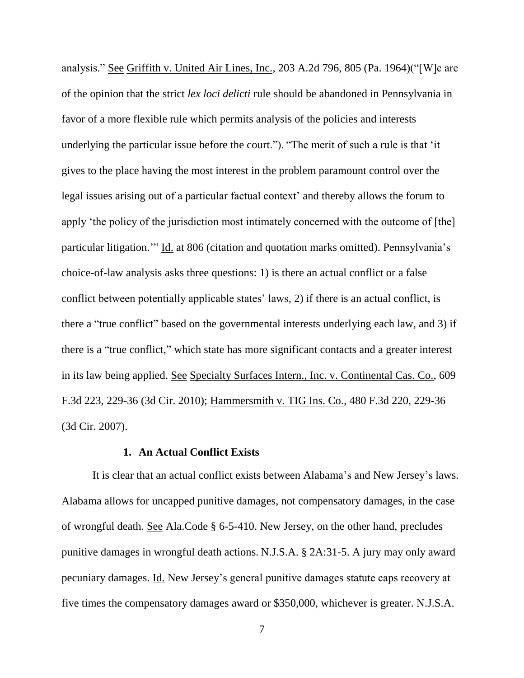analysis." See Griffith v. United Air Lines, Inc., 203 A.2d 796, 805 (Pa. 1964)("[W]e are of the opinion that the strict *lex loci delicti* rule should be abandoned in Pennsylvania in favor of a more flexible rule which permits analysis of the policies and interests underlying the particular issue before the court."). "The merit of such a rule is that 'it gives to the place having the most interest in the problem paramount control over the legal issues arising out of a particular factual context' and thereby allows the forum to apply 'the policy of the jurisdiction most intimately concerned with the outcome of [the] particular litigation.'" Id. at 806 (citation and quotation marks omitted). Pennsylvania's choice-of-law analysis asks three questions: 1) is there an actual conflict or a false conflict between potentially applicable states' laws, 2) if there is an actual conflict, is there a "true conflict" based on the governmental interests underlying each law, and 3) if there is a "true conflict," which state has more significant contacts and a greater interest in its law being applied. See Specialty Surfaces Intern., Inc. v. Continental Cas. Co., 609 F.3d 223, 229-36 (3d Cir. 2010); Hammersmith v. TIG Ins. Co., 480 F.3d 220, 229-36 (3d Cir. 2007).

### **1. An Actual Conflict Exists**

It is clear that an actual conflict exists between Alabama's and New Jersey's laws. Alabama allows for uncapped punitive damages, not compensatory damages, in the case of wrongful death. See Ala.Code § 6-5-410. New Jersey, on the other hand, precludes punitive damages in wrongful death actions. N.J.S.A. § 2A:31-5. A jury may only award pecuniary damages. Id. New Jersey's general punitive damages statute caps recovery at five times the compensatory damages award or \$350,000, whichever is greater. N.J.S.A.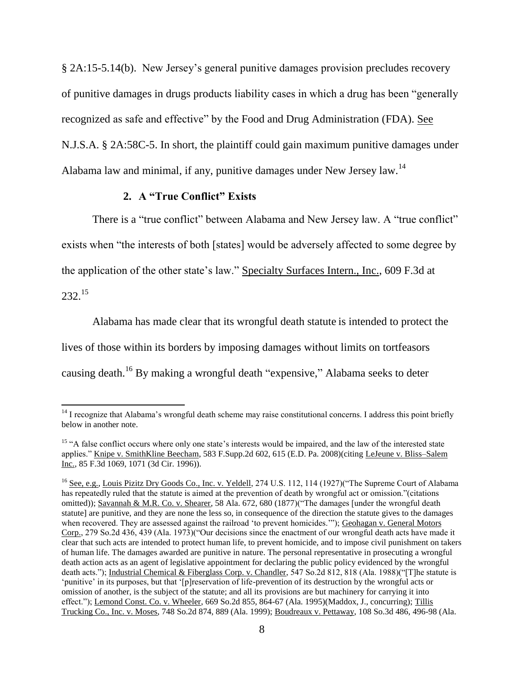§ 2A:15-5.14(b). New Jersey's general punitive damages provision precludes recovery of punitive damages in drugs products liability cases in which a drug has been "generally recognized as safe and effective" by the Food and Drug Administration (FDA). See N.J.S.A. § 2A:58C-5. In short, the plaintiff could gain maximum punitive damages under Alabama law and minimal, if any, punitive damages under New Jersey law.<sup>14</sup>

## **2. A "True Conflict" Exists**

There is a "true conflict" between Alabama and New Jersey law. A "true conflict" exists when "the interests of both [states] would be adversely affected to some degree by the application of the other state's law." Specialty Surfaces Intern., Inc., 609 F.3d at

232.<sup>15</sup>

l

Alabama has made clear that its wrongful death statute is intended to protect the lives of those within its borders by imposing damages without limits on tortfeasors causing death.<sup>16</sup> By making a wrongful death "expensive," Alabama seeks to deter

<sup>&</sup>lt;sup>14</sup> I recognize that Alabama's wrongful death scheme may raise constitutional concerns. I address this point briefly below in another note.

<sup>&</sup>lt;sup>15</sup> "A false conflict occurs where only one state's interests would be impaired, and the law of the interested state applies." Knipe v. SmithKline Beecham, 583 F.Supp.2d 602, 615 (E.D. Pa. 2008)(citing LeJeune v. Bliss–Salem Inc., 85 F.3d 1069, 1071 (3d Cir. 1996)).

<sup>&</sup>lt;sup>16</sup> See, e.g., Louis Pizitz Dry Goods Co., Inc. v. Yeldell, 274 U.S. 112, 114 (1927)("The Supreme Court of Alabama has repeatedly ruled that the statute is aimed at the prevention of death by wrongful act or omission."(citations omitted)); Savannah & M.R. Co. v. Shearer, 58 Ala. 672, 680 (1877)("The damages [under the wrongful death statute] are punitive, and they are none the less so, in consequence of the direction the statute gives to the damages when recovered. They are assessed against the railroad 'to prevent homicides.'"); Geohagan v. General Motors Corp., 279 So.2d 436, 439 (Ala. 1973)("Our decisions since the enactment of our wrongful death acts have made it clear that such acts are intended to protect human life, to prevent homicide, and to impose civil punishment on takers of human life. The damages awarded are punitive in nature. The personal representative in prosecuting a wrongful death action acts as an agent of legislative appointment for declaring the public policy evidenced by the wrongful death acts."); Industrial Chemical & Fiberglass Corp. v. Chandler, 547 So.2d 812, 818 (Ala. 1988)("[T]he statute is 'punitive' in its purposes, but that '[p]reservation of life-prevention of its destruction by the wrongful acts or omission of another, is the subject of the statute; and all its provisions are but machinery for carrying it into effect."); Lemond Const. Co. v. Wheeler, 669 So.2d 855, 864-67 (Ala. 1995)(Maddox, J., concurring): Tillis Trucking Co., Inc. v. Moses, 748 So.2d 874, 889 (Ala. 1999); Boudreaux v. Pettaway, 108 So.3d 486, 496-98 (Ala.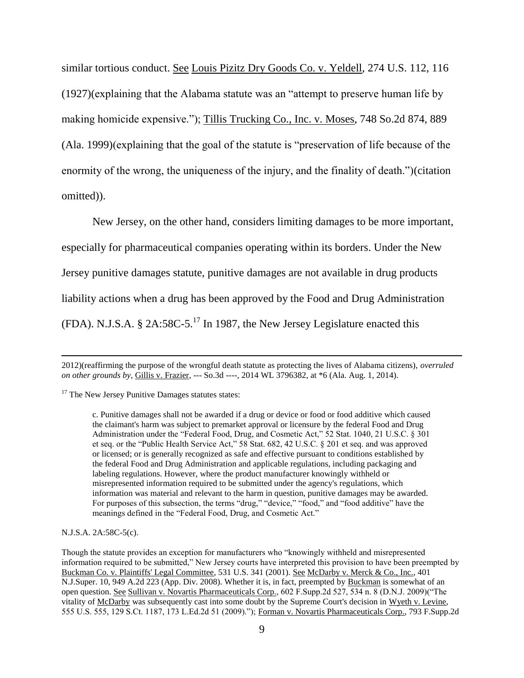similar tortious conduct. See Louis Pizitz Dry Goods Co. v. Yeldell, 274 U.S. 112, 116 (1927)(explaining that the Alabama statute was an "attempt to preserve human life by making homicide expensive."); Tillis Trucking Co., Inc. v. Moses, 748 So.2d 874, 889 (Ala. 1999)(explaining that the goal of the statute is "preservation of life because of the enormity of the wrong, the uniqueness of the injury, and the finality of death.")(citation omitted)).

New Jersey, on the other hand, considers limiting damages to be more important, especially for pharmaceutical companies operating within its borders. Under the New Jersey punitive damages statute, punitive damages are not available in drug products liability actions when a drug has been approved by the Food and Drug Administration (FDA). N.J.S.A. § 2A:58C-5.<sup>17</sup> In 1987, the New Jersey Legislature enacted this

 $17$  The New Jersey Punitive Damages statutes states:

c. Punitive damages shall not be awarded if a drug or device or food or food additive which caused the claimant's harm was subject to premarket approval or licensure by the federal Food and Drug Administration under the "Federal Food, Drug, and Cosmetic Act," 52 Stat. 1040, 21 U.S.C. § 301 et seq. or the "Public Health Service Act," 58 Stat. 682, 42 U.S.C. § 201 et seq. and was approved or licensed; or is generally recognized as safe and effective pursuant to conditions established by the federal Food and Drug Administration and applicable regulations, including packaging and labeling regulations. However, where the product manufacturer knowingly withheld or misrepresented information required to be submitted under the agency's regulations, which information was material and relevant to the harm in question, punitive damages may be awarded. For purposes of this subsection, the terms "drug," "device," "food," and "food additive" have the meanings defined in the "Federal Food, Drug, and Cosmetic Act."

N.J.S.A. 2A:58C-5(c).

 $\overline{a}$ 

<sup>2012)(</sup>reaffirming the purpose of the wrongful death statute as protecting the lives of Alabama citizens), *overruled on other grounds by*, Gillis v. Frazier, --- So.3d ----, 2014 WL 3796382, at \*6 (Ala. Aug. 1, 2014).

Though the statute provides an exception for manufacturers who "knowingly withheld and misrepresented information required to be submitted," New Jersey courts have interpreted this provision to have been preempted by Buckman Co. v. Plaintiffs' Legal Committee, 531 U.S. 341 (2001). See McDarby v. Merck & Co., Inc., 401 N.J.Super. 10, 949 A.2d 223 (App. Div. 2008). Whether it is, in fact, preempted by Buckman is somewhat of an open question. See Sullivan v. Novartis Pharmaceuticals Corp., 602 F.Supp.2d 527, 534 n. 8 (D.N.J. 2009)("The vitality of McDarby was subsequently cast into some doubt by the Supreme Court's decision in Wyeth v. Levine, 555 U.S. 555, 129 S.Ct. 1187, 173 L.Ed.2d 51 (2009)."); Forman v. Novartis Pharmaceuticals Corp., 793 F.Supp.2d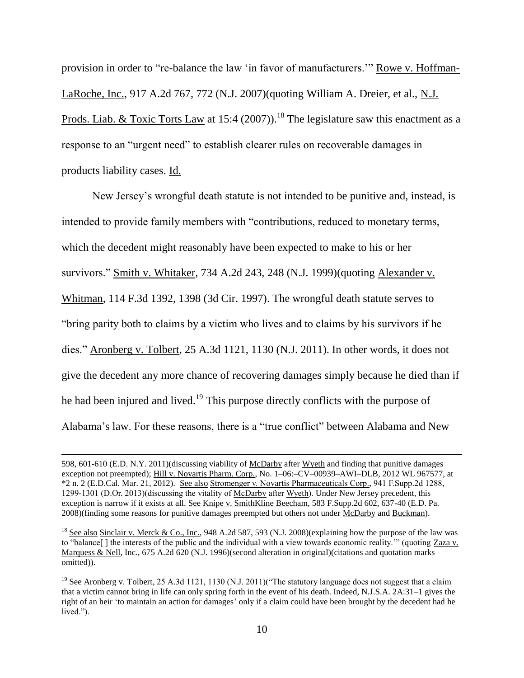provision in order to "re-balance the law 'in favor of manufacturers.'" Rowe v. Hoffman-LaRoche, Inc., 917 A.2d 767, 772 (N.J. 2007)(quoting William A. Dreier, et al., N.J. Prods. Liab. & Toxic Torts Law at 15:4 (2007)).<sup>18</sup> The legislature saw this enactment as a response to an "urgent need" to establish clearer rules on recoverable damages in products liability cases. Id.

New Jersey's wrongful death statute is not intended to be punitive and, instead, is intended to provide family members with "contributions, reduced to monetary terms, which the decedent might reasonably have been expected to make to his or her survivors." Smith v. Whitaker, 734 A.2d 243, 248 (N.J. 1999)(quoting Alexander v. Whitman, 114 F.3d 1392, 1398 (3d Cir. 1997). The wrongful death statute serves to "bring parity both to claims by a victim who lives and to claims by his survivors if he dies." Aronberg v. Tolbert, 25 A.3d 1121, 1130 (N.J. 2011). In other words, it does not give the decedent any more chance of recovering damages simply because he died than if he had been injured and lived.<sup>19</sup> This purpose directly conflicts with the purpose of Alabama's law. For these reasons, there is a "true conflict" between Alabama and New

<sup>598, 601-610 (</sup>E.D. N.Y. 2011)(discussing viability of McDarby after Wyeth and finding that punitive damages exception not preempted); Hill v. Novartis Pharm. Corp., No. 1–06:–CV–00939–AWI–DLB, 2012 WL 967577, at \*2 n. 2 (E.D.Cal. Mar. 21, 2012). See also Stromenger v. Novartis Pharmaceuticals Corp., 941 F.Supp.2d 1288, 1299-1301 (D.Or. 2013)(discussing the vitality of McDarby after Wyeth). Under New Jersey precedent, this exception is narrow if it exists at all. See Knipe v. SmithKline Beecham, 583 F.Supp.2d 602, 637-40 (E.D. Pa. 2008)(finding some reasons for punitive damages preempted but others not under McDarby and Buckman).

<sup>&</sup>lt;sup>18</sup> See also Sinclair v. Merck & Co., Inc., 948 A.2d 587, 593 (N.J. 2008)(explaining how the purpose of the law was to "balance[ ] the interests of the public and the individual with a view towards economic reality.'" (quoting Zaza v. Marquess & Nell, Inc., 675 A.2d 620 (N.J. 1996)(second alteration in original)(citations and quotation marks omitted)).

<sup>&</sup>lt;sup>19</sup> See Aronberg v. Tolbert, 25 A.3d 1121, 1130 (N.J. 2011)("The statutory language does not suggest that a claim that a victim cannot bring in life can only spring forth in the event of his death. Indeed, N.J.S.A. 2A:31–1 gives the right of an heir 'to maintain an action for damages' only if a claim could have been brought by the decedent had he lived.").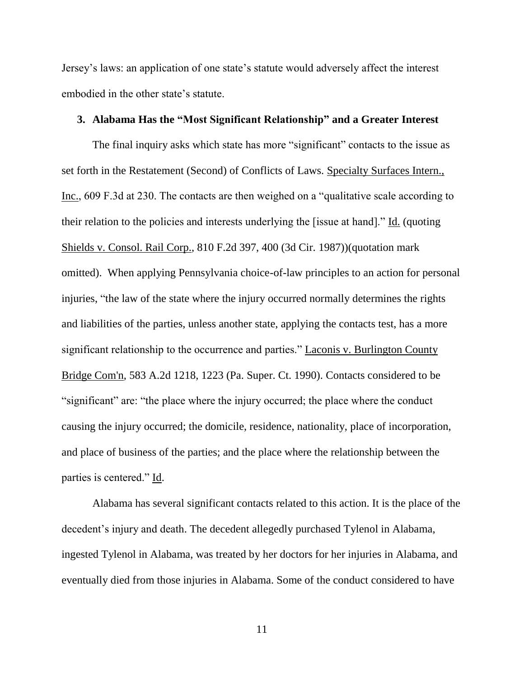Jersey's laws: an application of one state's statute would adversely affect the interest embodied in the other state's statute.

## **3. Alabama Has the "Most Significant Relationship" and a Greater Interest**

The final inquiry asks which state has more "significant" contacts to the issue as set forth in the Restatement (Second) of Conflicts of Laws. Specialty Surfaces Intern., Inc., 609 F.3d at 230. The contacts are then weighed on a "qualitative scale according to their relation to the policies and interests underlying the [issue at hand]." Id. (quoting Shields v. Consol. Rail Corp., 810 F.2d 397, 400 (3d Cir. 1987))(quotation mark omitted). When applying Pennsylvania choice-of-law principles to an action for personal injuries, "the law of the state where the injury occurred normally determines the rights and liabilities of the parties, unless another state, applying the contacts test, has a more significant relationship to the occurrence and parties." Laconis v. Burlington County Bridge Com'n, 583 A.2d 1218, 1223 (Pa. Super. Ct. 1990). Contacts considered to be "significant" are: "the place where the injury occurred; the place where the conduct causing the injury occurred; the domicile, residence, nationality, place of incorporation, and place of business of the parties; and the place where the relationship between the parties is centered." Id.

Alabama has several significant contacts related to this action. It is the place of the decedent's injury and death. The decedent allegedly purchased Tylenol in Alabama, ingested Tylenol in Alabama, was treated by her doctors for her injuries in Alabama, and eventually died from those injuries in Alabama. Some of the conduct considered to have

11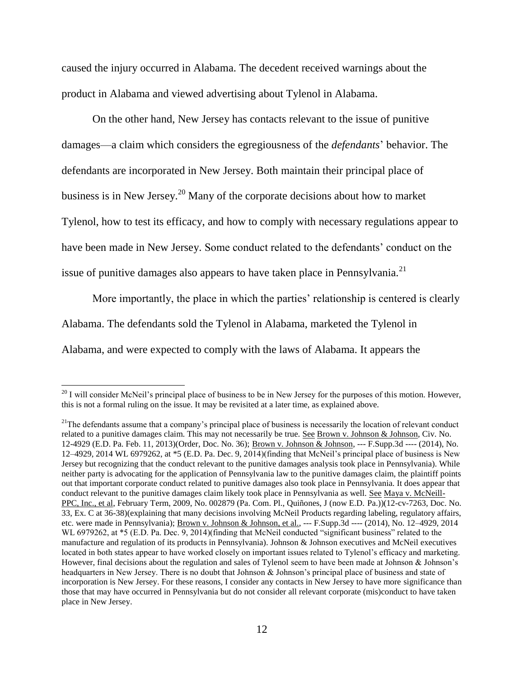caused the injury occurred in Alabama. The decedent received warnings about the product in Alabama and viewed advertising about Tylenol in Alabama.

On the other hand, New Jersey has contacts relevant to the issue of punitive damages—a claim which considers the egregiousness of the *defendants*' behavior. The defendants are incorporated in New Jersey. Both maintain their principal place of business is in New Jersey.<sup>20</sup> Many of the corporate decisions about how to market Tylenol, how to test its efficacy, and how to comply with necessary regulations appear to have been made in New Jersey. Some conduct related to the defendants' conduct on the issue of punitive damages also appears to have taken place in Pennsylvania.<sup>21</sup>

More importantly, the place in which the parties' relationship is centered is clearly Alabama. The defendants sold the Tylenol in Alabama, marketed the Tylenol in Alabama, and were expected to comply with the laws of Alabama. It appears the

 $20$  I will consider McNeil's principal place of business to be in New Jersey for the purposes of this motion. However, this is not a formal ruling on the issue. It may be revisited at a later time, as explained above.

 $21$ The defendants assume that a company's principal place of business is necessarily the location of relevant conduct related to a punitive damages claim. This may not necessarily be true. See Brown v. Johnson & Johnson*,* Civ. No. 12-4929 (E.D. Pa. Feb. 11, 2013)(Order, Doc. No. 36); Brown v. Johnson & Johnson, --- F.Supp.3d ---- (2014), No. 12–4929, 2014 WL 6979262, at \*5 (E.D. Pa. Dec. 9, 2014)(finding that McNeil's principal place of business is New Jersey but recognizing that the conduct relevant to the punitive damages analysis took place in Pennsylvania). While neither party is advocating for the application of Pennsylvania law to the punitive damages claim, the plaintiff points out that important corporate conduct related to punitive damages also took place in Pennsylvania. It does appear that conduct relevant to the punitive damages claim likely took place in Pennsylvania as well. See Maya v. McNeill-PPC, Inc., et al, February Term, 2009, No. 002879 (Pa. Com. Pl., Quiñones, J (now E.D. Pa.))(12-cv-7263, Doc. No. 33, Ex. C at 36-38)(explaining that many decisions involving McNeil Products regarding labeling, regulatory affairs, etc. were made in Pennsylvania); Brown v. Johnson & Johnson, et al., --- F.Supp.3d ---- (2014), No. 12–4929, 2014 WL 6979262, at \*5 (E.D. Pa. Dec. 9, 2014)(finding that McNeil conducted "significant business" related to the manufacture and regulation of its products in Pennsylvania). Johnson & Johnson executives and McNeil executives located in both states appear to have worked closely on important issues related to Tylenol's efficacy and marketing. However, final decisions about the regulation and sales of Tylenol seem to have been made at Johnson & Johnson's headquarters in New Jersey. There is no doubt that Johnson & Johnson's principal place of business and state of incorporation is New Jersey. For these reasons, I consider any contacts in New Jersey to have more significance than those that may have occurred in Pennsylvania but do not consider all relevant corporate (mis)conduct to have taken place in New Jersey.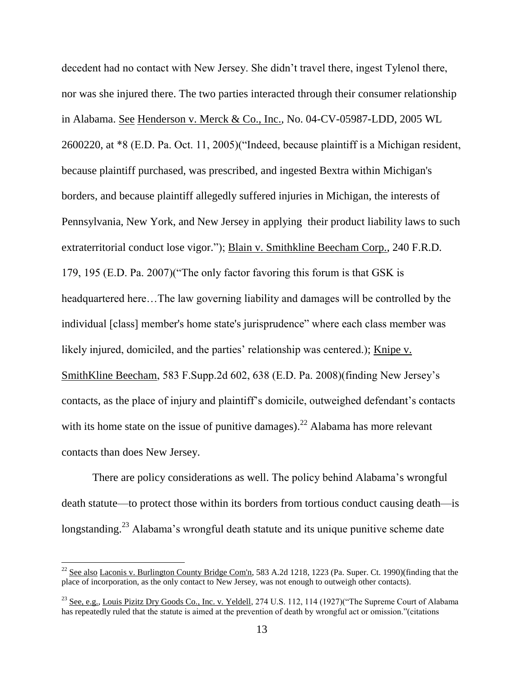decedent had no contact with New Jersey. She didn't travel there, ingest Tylenol there, nor was she injured there. The two parties interacted through their consumer relationship in Alabama. See Henderson v. Merck & Co., Inc., No. 04-CV-05987-LDD, 2005 WL 2600220, at \*8 (E.D. Pa. Oct. 11, 2005)("Indeed, because plaintiff is a Michigan resident, because plaintiff purchased, was prescribed, and ingested Bextra within Michigan's borders, and because plaintiff allegedly suffered injuries in Michigan, the interests of Pennsylvania, New York, and New Jersey in applying their product liability laws to such extraterritorial conduct lose vigor."); Blain v. Smithkline Beecham Corp., 240 F.R.D. 179, 195 (E.D. Pa. 2007)("The only factor favoring this forum is that GSK is headquartered here…The law governing liability and damages will be controlled by the individual [class] member's home state's jurisprudence" where each class member was likely injured, domiciled, and the parties' relationship was centered.); Knipe v. SmithKline Beecham, 583 F.Supp.2d 602, 638 (E.D. Pa. 2008)(finding New Jersey's contacts, as the place of injury and plaintiff's domicile, outweighed defendant's contacts with its home state on the issue of punitive damages).<sup>22</sup> Alabama has more relevant contacts than does New Jersey.

There are policy considerations as well. The policy behind Alabama's wrongful death statute—to protect those within its borders from tortious conduct causing death—is longstanding.<sup>23</sup> Alabama's wrongful death statute and its unique punitive scheme date

 $\overline{a}$ 

 $^{22}$  See also Laconis v. Burlington County Bridge Com'n, 583 A.2d 1218, 1223 (Pa. Super. Ct. 1990)(finding that the place of incorporation, as the only contact to New Jersey, was not enough to outweigh other contacts).

<sup>&</sup>lt;sup>23</sup> See, e.g., Louis Pizitz Dry Goods Co., Inc. v. Yeldell, 274 U.S. 112, 114 (1927)("The Supreme Court of Alabama has repeatedly ruled that the statute is aimed at the prevention of death by wrongful act or omission."(citations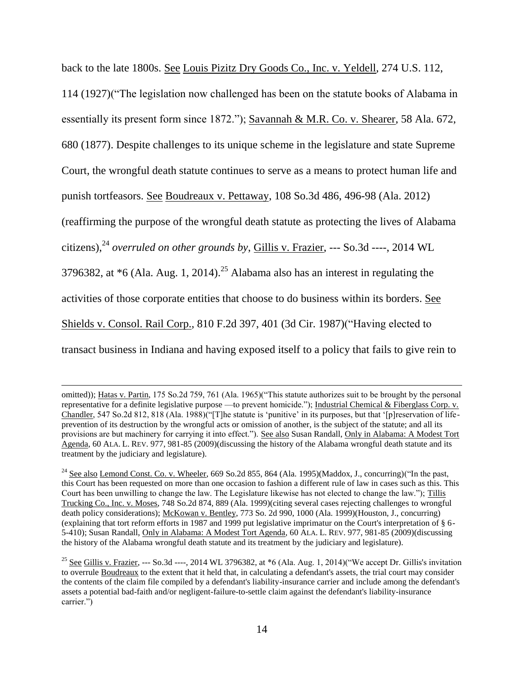back to the late 1800s. See Louis Pizitz Dry Goods Co., Inc. v. Yeldell, 274 U.S. 112, 114 (1927)("The legislation now challenged has been on the statute books of Alabama in essentially its present form since 1872."); Savannah & M.R. Co. v. Shearer, 58 Ala. 672, 680 (1877). Despite challenges to its unique scheme in the legislature and state Supreme Court, the wrongful death statute continues to serve as a means to protect human life and punish tortfeasors. See Boudreaux v. Pettaway, 108 So.3d 486, 496-98 (Ala. 2012) (reaffirming the purpose of the wrongful death statute as protecting the lives of Alabama citizens), <sup>24</sup> *overruled on other grounds by*, Gillis v. Frazier, --- So.3d ----, 2014 WL 3796382, at  $*6$  (Ala. Aug. 1, 2014).<sup>25</sup> Alabama also has an interest in regulating the activities of those corporate entities that choose to do business within its borders. See Shields v. Consol. Rail Corp., 810 F.2d 397, 401 (3d Cir. 1987)("Having elected to transact business in Indiana and having exposed itself to a policy that fails to give rein to

omitted)); Hatas v. Partin, 175 So.2d 759, 761 (Ala. 1965)("This statute authorizes suit to be brought by the personal representative for a definite legislative purpose —to prevent homicide."); Industrial Chemical & Fiberglass Corp. v. Chandler, 547 So.2d 812, 818 (Ala. 1988)("[T]he statute is 'punitive' in its purposes, but that '[p]reservation of lifeprevention of its destruction by the wrongful acts or omission of another, is the subject of the statute; and all its provisions are but machinery for carrying it into effect."). See also Susan Randall, Only in Alabama: A Modest Tort Agenda, 60 ALA. L. REV. 977, 981-85 (2009)(discussing the history of the Alabama wrongful death statute and its treatment by the judiciary and legislature).

<sup>&</sup>lt;sup>24</sup> See also Lemond Const. Co. v. Wheeler, 669 So.2d 855, 864 (Ala. 1995)(Maddox, J., concurring)("In the past, this Court has been requested on more than one occasion to fashion a different rule of law in cases such as this. This Court has been unwilling to change the law. The Legislature likewise has not elected to change the law."); Tillis Trucking Co., Inc. v. Moses, 748 So.2d 874, 889 (Ala. 1999)(citing several cases rejecting challenges to wrongful death policy considerations); McKowan v. Bentley, 773 So. 2d 990, 1000 (Ala. 1999)(Houston, J., concurring) (explaining that tort reform efforts in 1987 and 1999 put legislative imprimatur on the Court's interpretation of § 6- 5-410); Susan Randall, Only in Alabama: A Modest Tort Agenda, 60 ALA. L. REV. 977, 981-85 (2009)(discussing the history of the Alabama wrongful death statute and its treatment by the judiciary and legislature).

<sup>&</sup>lt;sup>25</sup> See Gillis v. Frazier, --- So.3d ----, 2014 WL 3796382, at  $*6$  (Ala. Aug. 1, 2014)("We accept Dr. Gillis's invitation to overrule Boudreaux to the extent that it held that, in calculating a defendant's assets, the trial court may consider the contents of the claim file compiled by a defendant's liability-insurance carrier and include among the defendant's assets a potential bad-faith and/or negligent-failure-to-settle claim against the defendant's liability-insurance carrier.")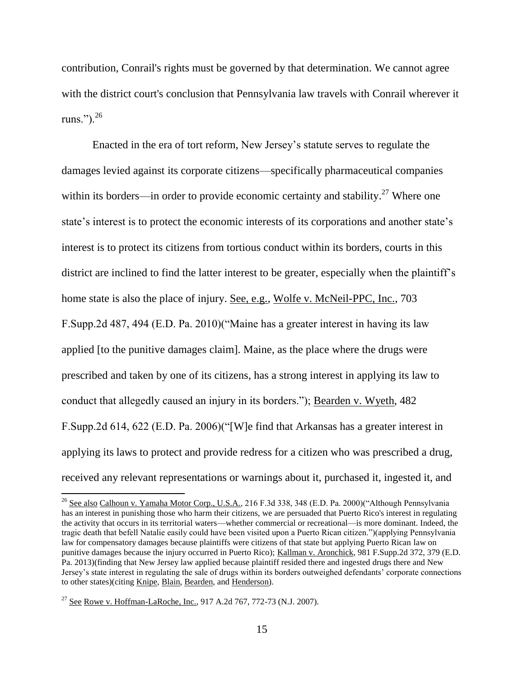contribution, Conrail's rights must be governed by that determination. We cannot agree with the district court's conclusion that Pennsylvania law travels with Conrail wherever it runs."). $^{26}$ 

Enacted in the era of tort reform, New Jersey's statute serves to regulate the damages levied against its corporate citizens—specifically pharmaceutical companies within its borders—in order to provide economic certainty and stability.<sup>27</sup> Where one state's interest is to protect the economic interests of its corporations and another state's interest is to protect its citizens from tortious conduct within its borders, courts in this district are inclined to find the latter interest to be greater, especially when the plaintiff's home state is also the place of injury. See, e.g., Wolfe v. McNeil-PPC, Inc., 703 F.Supp.2d 487, 494 (E.D. Pa. 2010)("Maine has a greater interest in having its law applied [to the punitive damages claim]. Maine, as the place where the drugs were prescribed and taken by one of its citizens, has a strong interest in applying its law to conduct that allegedly caused an injury in its borders."); Bearden v. Wyeth, 482 F.Supp.2d 614, 622 (E.D. Pa. 2006)("[W]e find that Arkansas has a greater interest in applying its laws to protect and provide redress for a citizen who was prescribed a drug, received any relevant representations or warnings about it, purchased it, ingested it, and

 $\overline{a}$ 

<sup>&</sup>lt;sup>26</sup> See also Calhoun v. Yamaha Motor Corp., U.S.A., 216 F.3d 338, 348 (E.D. Pa. 2000)("Although Pennsylvania has an interest in punishing those who harm their citizens, we are persuaded that Puerto Rico's interest in regulating the activity that occurs in its territorial waters—whether commercial or recreational—is more dominant. Indeed, the tragic death that befell Natalie easily could have been visited upon a Puerto Rican citizen.")(applying Pennsylvania law for compensatory damages because plaintiffs were citizens of that state but applying Puerto Rican law on punitive damages because the injury occurred in Puerto Rico); Kallman v. Aronchick, 981 F.Supp.2d 372, 379 (E.D. Pa. 2013)(finding that New Jersey law applied because plaintiff resided there and ingested drugs there and New Jersey's state interest in regulating the sale of drugs within its borders outweighed defendants' corporate connections to other states)(citing Knipe, Blain, Bearden, and Henderson).

<sup>&</sup>lt;sup>27</sup> See Rowe v. Hoffman-LaRoche, Inc., 917 A.2d 767, 772-73 (N.J. 2007).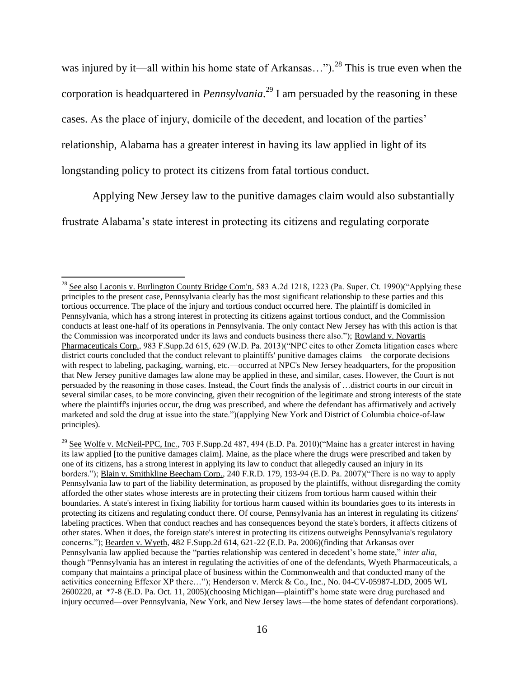was injured by it—all within his home state of Arkansas...").<sup>28</sup> This is true even when the corporation is headquartered in *Pennsylvania*. <sup>29</sup> I am persuaded by the reasoning in these cases. As the place of injury, domicile of the decedent, and location of the parties' relationship, Alabama has a greater interest in having its law applied in light of its longstanding policy to protect its citizens from fatal tortious conduct.

Applying New Jersey law to the punitive damages claim would also substantially

frustrate Alabama's state interest in protecting its citizens and regulating corporate

<sup>&</sup>lt;sup>28</sup> See also Laconis v. Burlington County Bridge Com'n, 583 A.2d 1218, 1223 (Pa. Super. Ct. 1990) ("Applying these principles to the present case, Pennsylvania clearly has the most significant relationship to these parties and this tortious occurrence. The place of the injury and tortious conduct occurred here. The plaintiff is domiciled in Pennsylvania, which has a strong interest in protecting its citizens against tortious conduct, and the Commission conducts at least one-half of its operations in Pennsylvania. The only contact New Jersey has with this action is that the Commission was incorporated under its laws and conducts business there also."); Rowland v. Novartis Pharmaceuticals Corp., 983 F.Supp.2d 615, 629 (W.D. Pa. 2013)("NPC cites to other Zometa litigation cases where district courts concluded that the conduct relevant to plaintiffs' punitive damages claims—the corporate decisions with respect to labeling, packaging, warning, etc.—occurred at NPC's New Jersey headquarters, for the proposition that New Jersey punitive damages law alone may be applied in these, and similar, cases. However, the Court is not persuaded by the reasoning in those cases. Instead, the Court finds the analysis of …district courts in our circuit in several similar cases, to be more convincing, given their recognition of the legitimate and strong interests of the state where the plaintiff's injuries occur, the drug was prescribed, and where the defendant has affirmatively and actively marketed and sold the drug at issue into the state.")(applying New York and District of Columbia choice-of-law principles).

<sup>&</sup>lt;sup>29</sup> See Wolfe v. McNeil-PPC, Inc., 703 F.Supp.2d 487, 494 (E.D. Pa. 2010)("Maine has a greater interest in having its law applied [to the punitive damages claim]. Maine, as the place where the drugs were prescribed and taken by one of its citizens, has a strong interest in applying its law to conduct that allegedly caused an injury in its borders."); Blain v. Smithkline Beecham Corp., 240 F.R.D. 179, 193-94 (E.D. Pa. 2007)("There is no way to apply Pennsylvania law to part of the liability determination, as proposed by the plaintiffs, without disregarding the comity afforded the other states whose interests are in protecting their citizens from tortious harm caused within their boundaries. A state's interest in fixing liability for tortious harm caused within its boundaries goes to its interests in protecting its citizens and regulating conduct there. Of course, Pennsylvania has an interest in regulating its citizens' labeling practices. When that conduct reaches and has consequences beyond the state's borders, it affects citizens of other states. When it does, the foreign state's interest in protecting its citizens outweighs Pennsylvania's regulatory concerns."); Bearden v. Wyeth, 482 F.Supp.2d 614, 621-22 (E.D. Pa. 2006)(finding that Arkansas over Pennsylvania law applied because the "parties relationship was centered in decedent's home state," *inter alia*, though "Pennsylvania has an interest in regulating the activities of one of the defendants, Wyeth Pharmaceuticals, a company that maintains a principal place of business within the Commonwealth and that conducted many of the activities concerning Effexor XP there…"); Henderson v. Merck & Co., Inc., No. 04-CV-05987-LDD, 2005 WL 2600220, at \*7-8 (E.D. Pa. Oct. 11, 2005)(choosing Michigan—plaintiff's home state were drug purchased and injury occurred—over Pennsylvania, New York, and New Jersey laws—the home states of defendant corporations).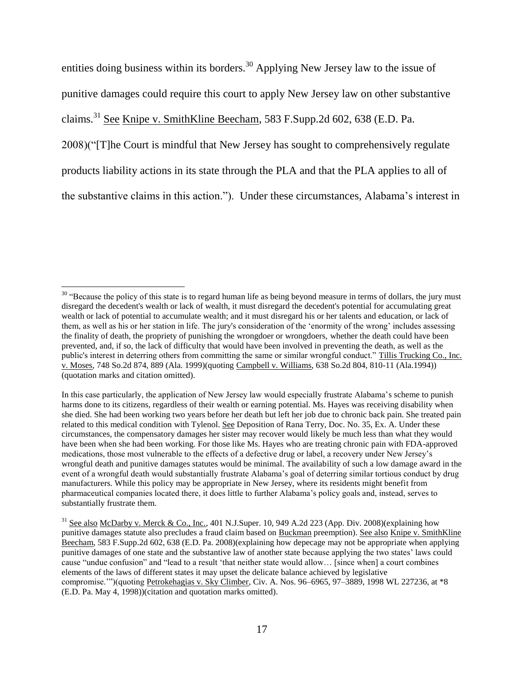entities doing business within its borders.<sup>30</sup> Applying New Jersey law to the issue of punitive damages could require this court to apply New Jersey law on other substantive claims.<sup>31</sup> See Knipe v. SmithKline Beecham, 583 F.Supp.2d 602, 638 (E.D. Pa. 2008)("[T]he Court is mindful that New Jersey has sought to comprehensively regulate products liability actions in its state through the PLA and that the PLA applies to all of the substantive claims in this action."). Under these circumstances, Alabama's interest in

l

 $30$  "Because the policy of this state is to regard human life as being beyond measure in terms of dollars, the jury must disregard the decedent's wealth or lack of wealth, it must disregard the decedent's potential for accumulating great wealth or lack of potential to accumulate wealth; and it must disregard his or her talents and education, or lack of them, as well as his or her station in life. The jury's consideration of the 'enormity of the wrong' includes assessing the finality of death, the propriety of punishing the wrongdoer or wrongdoers, whether the death could have been prevented, and, if so, the lack of difficulty that would have been involved in preventing the death, as well as the public's interest in deterring others from committing the same or similar wrongful conduct." Tillis Trucking Co., Inc. v. Moses, 748 So.2d 874, 889 (Ala. 1999)(quoting Campbell v. Williams, 638 So.2d 804, 810-11 (Ala.1994)) (quotation marks and citation omitted).

In this case particularly, the application of New Jersey law would especially frustrate Alabama's scheme to punish harms done to its citizens, regardless of their wealth or earning potential. Ms. Hayes was receiving disability when she died. She had been working two years before her death but left her job due to chronic back pain. She treated pain related to this medical condition with Tylenol. See Deposition of Rana Terry, Doc. No. 35, Ex. A. Under these circumstances, the compensatory damages her sister may recover would likely be much less than what they would have been when she had been working. For those like Ms. Hayes who are treating chronic pain with FDA-approved medications, those most vulnerable to the effects of a defective drug or label, a recovery under New Jersey's wrongful death and punitive damages statutes would be minimal. The availability of such a low damage award in the event of a wrongful death would substantially frustrate Alabama's goal of deterring similar tortious conduct by drug manufacturers. While this policy may be appropriate in New Jersey, where its residents might benefit from pharmaceutical companies located there, it does little to further Alabama's policy goals and, instead, serves to substantially frustrate them.

 $31$  See also McDarby v. Merck & Co., Inc., 401 N.J.Super. 10, 949 A.2d 223 (App. Div. 2008)(explaining how punitive damages statute also precludes a fraud claim based on Buckman preemption). See also Knipe v. SmithKline Beecham, 583 F.Supp.2d 602, 638 (E.D. Pa. 2008)(explaining how depecage may not be appropriate when applying punitive damages of one state and the substantive law of another state because applying the two states' laws could cause "undue confusion" and "lead to a result 'that neither state would allow… [since when] a court combines elements of the laws of different states it may upset the delicate balance achieved by legislative compromise.'")(quoting Petrokehagias v. Sky Climber*,* Civ. A. Nos. 96–6965, 97–3889, 1998 WL 227236, at \*8 (E.D. Pa. May 4, 1998))(citation and quotation marks omitted).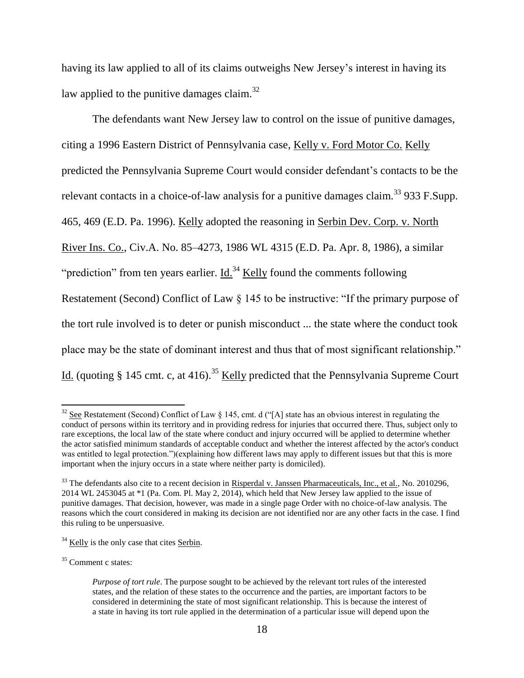having its law applied to all of its claims outweighs New Jersey's interest in having its law applied to the punitive damages claim.<sup>32</sup>

The defendants want New Jersey law to control on the issue of punitive damages, citing a 1996 Eastern District of Pennsylvania case, Kelly v. Ford Motor Co. Kelly predicted the Pennsylvania Supreme Court would consider defendant's contacts to be the relevant contacts in a choice-of-law analysis for a punitive damages claim.<sup>33</sup> 933 F.Supp. 465, 469 (E.D. Pa. 1996). Kelly adopted the reasoning in Serbin Dev. Corp. v. North River Ins. Co., Civ.A. No. 85–4273, 1986 WL 4315 (E.D. Pa. Apr. 8, 1986), a similar "prediction" from ten years earlier. Id. $34$  Kelly found the comments following Restatement (Second) Conflict of Law § 145 to be instructive: "If the primary purpose of the tort rule involved is to deter or punish misconduct ... the state where the conduct took place may be the state of dominant interest and thus that of most significant relationship." Id. (quoting  $\S$  145 cmt. c, at 416).<sup>35</sup> Kelly predicted that the Pennsylvania Supreme Court

l

 $32$  See Restatement (Second) Conflict of Law § 145, cmt. d ("[A] state has an obvious interest in regulating the conduct of persons within its territory and in providing redress for injuries that occurred there. Thus, subject only to rare exceptions, the local law of the state where conduct and injury occurred will be applied to determine whether the actor satisfied minimum standards of acceptable conduct and whether the interest affected by the actor's conduct was entitled to legal protection.")(explaining how different laws may apply to different issues but that this is more important when the injury occurs in a state where neither party is domiciled).

 $33$  The defendants also cite to a recent decision in Risperdal v. Janssen Pharmaceuticals, Inc., et al., No. 2010296, 2014 WL 2453045 at \*1 (Pa. Com. Pl. May 2, 2014), which held that New Jersey law applied to the issue of punitive damages. That decision, however, was made in a single page Order with no choice-of-law analysis. The reasons which the court considered in making its decision are not identified nor are any other facts in the case. I find this ruling to be unpersuasive.

 $34$  Kelly is the only case that cites Serbin.

<sup>35</sup> Comment c states:

*Purpose of tort rule*. The purpose sought to be achieved by the relevant tort rules of the interested states, and the relation of these states to the occurrence and the parties, are important factors to be considered in determining the state of most significant relationship. This is because the interest of a state in having its tort rule applied in the determination of a particular issue will depend upon the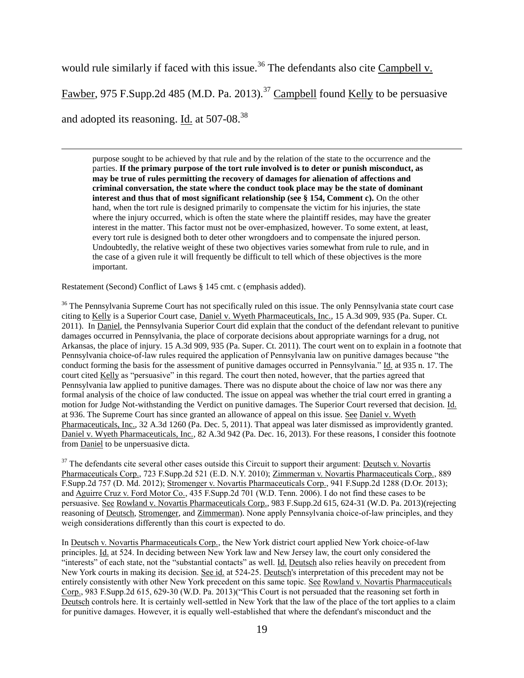would rule similarly if faced with this issue.<sup>36</sup> The defendants also cite Campbell v.

Fawber, 975 F.Supp.2d 485 (M.D. Pa. 2013).<sup>37</sup> Campbell found Kelly to be persuasive

and adopted its reasoning. Id. at 507-08.<sup>38</sup>

 $\overline{\phantom{a}}$ 

purpose sought to be achieved by that rule and by the relation of the state to the occurrence and the parties. **If the primary purpose of the tort rule involved is to deter or punish misconduct, as may be true of rules permitting the recovery of damages for alienation of affections and criminal conversation, the state where the conduct took place may be the state of dominant interest and thus that of most significant relationship (see § 154, Comment c).** On the other hand, when the tort rule is designed primarily to compensate the victim for his injuries, the state where the injury occurred, which is often the state where the plaintiff resides, may have the greater interest in the matter. This factor must not be over-emphasized, however. To some extent, at least, every tort rule is designed both to deter other wrongdoers and to compensate the injured person. Undoubtedly, the relative weight of these two objectives varies somewhat from rule to rule, and in the case of a given rule it will frequently be difficult to tell which of these objectives is the more important.

Restatement (Second) Conflict of Laws § 145 cmt. c (emphasis added).

<sup>36</sup> The Pennsylvania Supreme Court has not specifically ruled on this issue. The only Pennsylvania state court case citing to Kelly is a Superior Court case, Daniel v. Wyeth Pharmaceuticals, Inc., 15 A.3d 909, 935 (Pa. Super. Ct. 2011). In Daniel, the Pennsylvania Superior Court did explain that the conduct of the defendant relevant to punitive damages occurred in Pennsylvania, the place of corporate decisions about appropriate warnings for a drug, not Arkansas, the place of injury. 15 A.3d 909, 935 (Pa. Super. Ct. 2011). The court went on to explain in a footnote that Pennsylvania choice-of-law rules required the application of Pennsylvania law on punitive damages because "the conduct forming the basis for the assessment of punitive damages occurred in Pennsylvania." Id. at 935 n. 17. The court cited Kelly as "persuasive" in this regard. The court then noted, however, that the parties agreed that Pennsylvania law applied to punitive damages. There was no dispute about the choice of law nor was there any formal analysis of the choice of law conducted. The issue on appeal was whether the trial court erred in granting a motion for Judge Not-withstanding the Verdict on punitive damages. The Superior Court reversed that decision. Id. at 936. The Supreme Court has since granted an allowance of appeal on this issue. See Daniel v. Wyeth Pharmaceuticals, Inc., 32 A.3d 1260 (Pa. Dec. 5, 2011). That appeal was later dismissed as improvidently granted. Daniel v. Wyeth Pharmaceuticals, Inc., 82 A.3d 942 (Pa. Dec. 16, 2013). For these reasons, I consider this footnote from Daniel to be unpersuasive dicta.

 $37$  The defendants cite several other cases outside this Circuit to support their argument: Deutsch v. Novartis Pharmaceuticals Corp., 723 F.Supp.2d 521 (E.D. N.Y. 2010); Zimmerman v. Novartis Pharmaceuticals Corp., 889 F.Supp.2d 757 (D. Md. 2012); Stromenger v. Novartis Pharmaceuticals Corp., 941 F.Supp.2d 1288 (D.Or. 2013); and Aguirre Cruz v. Ford Motor Co., 435 F.Supp.2d 701 (W.D. Tenn. 2006). I do not find these cases to be persuasive. See Rowland v. Novartis Pharmaceuticals Corp., 983 F.Supp.2d 615, 624-31 (W.D. Pa. 2013)(rejecting reasoning of Deutsch, Stromenger, and Zimmerman). None apply Pennsylvania choice-of-law principles, and they weigh considerations differently than this court is expected to do.

In Deutsch v. Novartis Pharmaceuticals Corp., the New York district court applied New York choice-of-law principles. Id. at 524. In deciding between New York law and New Jersey law, the court only considered the "interests" of each state, not the "substantial contacts" as well. Id. Deutsch also relies heavily on precedent from New York courts in making its decision. See id. at 524-25. Deutsch's interpretation of this precedent may not be entirely consistently with other New York precedent on this same topic. See Rowland v. Novartis Pharmaceuticals Corp., 983 F.Supp.2d 615, 629-30 (W.D. Pa. 2013)("This Court is not persuaded that the reasoning set forth in Deutsch controls here. It is certainly well-settled in New York that the law of the place of the tort applies to a claim for punitive damages. However, it is equally well-established that where the defendant's misconduct and the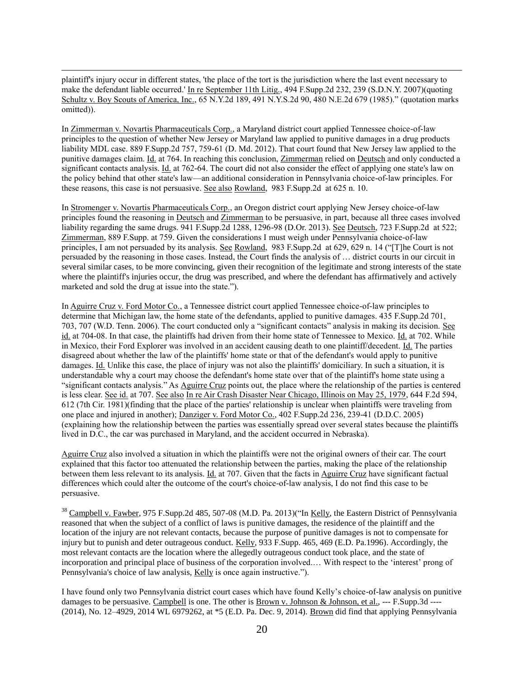plaintiff's injury occur in different states, 'the place of the tort is the jurisdiction where the last event necessary to make the defendant liable occurred.' In re September 11th Litig., 494 F.Supp.2d 232, 239 (S.D.N.Y. 2007)(quoting Schultz v. Boy Scouts of America, Inc., 65 N.Y.2d 189, 491 N.Y.S.2d 90, 480 N.E.2d 679 (1985)." (quotation marks omitted)).

 $\overline{\phantom{a}}$ 

In Zimmerman v. Novartis Pharmaceuticals Corp., a Maryland district court applied Tennessee choice-of-law principles to the question of whether New Jersey or Maryland law applied to punitive damages in a drug products liability MDL case. 889 F.Supp.2d 757, 759-61 (D. Md. 2012). That court found that New Jersey law applied to the punitive damages claim. Id. at 764. In reaching this conclusion, Zimmerman relied on Deutsch and only conducted a significant contacts analysis. Id. at 762-64. The court did not also consider the effect of applying one state's law on the policy behind that other state's law—an additional consideration in Pennsylvania choice-of-law principles. For these reasons, this case is not persuasive. See also Rowland, 983 F.Supp.2d at 625 n. 10.

In Stromenger v. Novartis Pharmaceuticals Corp., an Oregon district court applying New Jersey choice-of-law principles found the reasoning in Deutsch and Zimmerman to be persuasive, in part, because all three cases involved liability regarding the same drugs. 941 F.Supp.2d 1288, 1296-98 (D.Or. 2013). See Deutsch, 723 F.Supp.2d at 522; Zimmerman, 889 F.Supp. at 759. Given the considerations I must weigh under Pennsylvania choice-of-law principles, I am not persuaded by its analysis. See Rowland, 983 F.Supp.2d at 629, 629 n. 14 ("[T]he Court is not persuaded by the reasoning in those cases. Instead, the Court finds the analysis of … district courts in our circuit in several similar cases, to be more convincing, given their recognition of the legitimate and strong interests of the state where the plaintiff's injuries occur, the drug was prescribed, and where the defendant has affirmatively and actively marketed and sold the drug at issue into the state.").

In Aguirre Cruz v. Ford Motor Co., a Tennessee district court applied Tennessee choice-of-law principles to determine that Michigan law, the home state of the defendants, applied to punitive damages. 435 F.Supp.2d 701, 703, 707 (W.D. Tenn. 2006). The court conducted only a "significant contacts" analysis in making its decision. See id. at 704-08. In that case, the plaintiffs had driven from their home state of Tennessee to Mexico. Id. at 702. While in Mexico, their Ford Explorer was involved in an accident causing death to one plaintiff/decedent. Id. The parties disagreed about whether the law of the plaintiffs' home state or that of the defendant's would apply to punitive damages. Id. Unlike this case, the place of injury was not also the plaintiffs' domiciliary. In such a situation, it is understandable why a court may choose the defendant's home state over that of the plaintiff's home state using a "significant contacts analysis." As Aguirre Cruz points out, the place where the relationship of the parties is centered is less clear. See id. at 707. See also In re Air Crash Disaster Near Chicago, Illinois on May 25, 1979, 644 F.2d 594, 612 (7th Cir. 1981)(finding that the place of the parties' relationship is unclear when plaintiffs were traveling from one place and injured in another); Danziger v. Ford Motor Co., 402 F.Supp.2d 236, 239-41 (D.D.C. 2005) (explaining how the relationship between the parties was essentially spread over several states because the plaintiffs lived in D.C., the car was purchased in Maryland, and the accident occurred in Nebraska).

Aguirre Cruz also involved a situation in which the plaintiffs were not the original owners of their car. The court explained that this factor too attenuated the relationship between the parties, making the place of the relationship between them less relevant to its analysis. Id. at 707. Given that the facts in Aguirre Cruz have significant factual differences which could alter the outcome of the court's choice-of-law analysis, I do not find this case to be persuasive.

<sup>38</sup> Campbell v. Fawber, 975 F.Supp.2d 485, 507-08 (M.D. Pa. 2013)("In Kelly, the Eastern District of Pennsylvania reasoned that when the subject of a conflict of laws is punitive damages, the residence of the plaintiff and the location of the injury are not relevant contacts, because the purpose of punitive damages is not to compensate for injury but to punish and deter outrageous conduct. Kelly, 933 F.Supp. 465, 469 (E.D. Pa.1996). Accordingly, the most relevant contacts are the location where the allegedly outrageous conduct took place, and the state of incorporation and principal place of business of the corporation involved.… With respect to the 'interest' prong of Pennsylvania's choice of law analysis, Kelly is once again instructive.").

I have found only two Pennsylvania district court cases which have found Kelly's choice-of-law analysis on punitive damages to be persuasive. Campbell is one. The other is Brown v. Johnson & Johnson, et al., --- F.Supp.3d ----(2014), No. 12–4929, 2014 WL 6979262, at \*5 (E.D. Pa. Dec. 9, 2014). Brown did find that applying Pennsylvania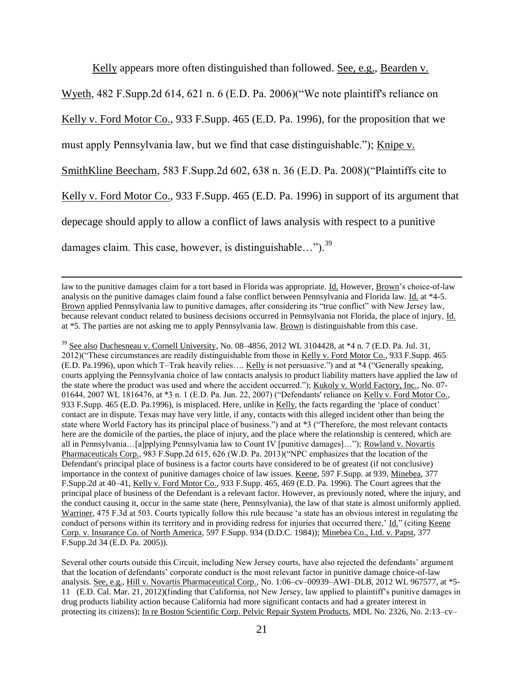Kelly appears more often distinguished than followed. See, e.g., Bearden v.

Wyeth, 482 F.Supp.2d 614, 621 n. 6 (E.D. Pa. 2006)("We note plaintiff's reliance on

Kelly v. Ford Motor Co., 933 F.Supp. 465 (E.D. Pa. 1996), for the proposition that we

must apply Pennsylvania law, but we find that case distinguishable."); Knipe v.

SmithKline Beecham, 583 F.Supp.2d 602, 638 n. 36 (E.D. Pa. 2008)("Plaintiffs cite to

Kelly v. Ford Motor Co., 933 F.Supp. 465 (E.D. Pa. 1996) in support of its argument that

depecage should apply to allow a conflict of laws analysis with respect to a punitive

damages claim. This case, however, is distinguishable...").<sup>39</sup>

 $\overline{\phantom{a}}$ 

 $39$  See also Duchesneau v. Cornell University, No. 08–4856, 2012 WL 3104428, at  $*4$  n. 7 (E.D. Pa. Jul. 31, 2012)("These circumstances are readily distinguishable from those in Kelly v. Ford Motor Co., 933 F.Supp. 465 (E.D. Pa.1996), upon which T–Trak heavily relies…. Kelly is not persuasive.") and at \*4 ("Generally speaking, courts applying the Pennsylvania choice of law contacts analysis to product liability matters have applied the law of the state where the product was used and where the accident occurred."); Kukoly v. World Factory, Inc., No. 07- 01644, 2007 WL 1816476, at \*3 n. 1 (E.D. Pa. Jun. 22, 2007) ("Defendants' reliance on Kelly v. Ford Motor Co., 933 F.Supp. 465 (E.D. Pa.1996), is misplaced. Here, unlike in Kelly, the facts regarding the 'place of conduct' contact are in dispute. Texas may have very little, if any, contacts with this alleged incident other than being the state where World Factory has its principal place of business.") and at \*3 ("Therefore, the most relevant contacts here are the domicile of the parties, the place of injury, and the place where the relationship is centered, which are all in Pennsylvania…[a]pplying Pennsylvania law to Count IV [punitive damages]…"); Rowland v. Novartis Pharmaceuticals Corp., 983 F.Supp.2d 615, 626 (W.D. Pa. 2013)("NPC emphasizes that the location of the Defendant's principal place of business is a factor courts have considered to be of greatest (if not conclusive) importance in the context of punitive damages choice of law issues. Keene, 597 F.Supp. at 939, Minebea, 377 F.Supp.2d at 40–41, Kelly v. Ford Motor Co., 933 F.Supp. 465, 469 (E.D. Pa. 1996). The Court agrees that the principal place of business of the Defendant is a relevant factor. However, as previously noted, where the injury, and the conduct causing it, occur in the same state (here, Pennsylvania), the law of that state is almost uniformly applied. Warriner, 475 F.3d at 503. Courts typically follow this rule because 'a state has an obvious interest in regulating the conduct of persons within its territory and in providing redress for injuries that occurred there,' Id." (citing Keene Corp. v. Insurance Co. of North America, 597 F.Supp. 934 (D.D.C. 1984)); Minebea Co., Ltd. v. Papst, 377 F.Supp.2d 34 (E.D. Pa. 2005)).

Several other courts outside this Circuit, including New Jersey courts, have also rejected the defendants' argument that the location of defendants' corporate conduct is the most relevant factor in punitive damage choice-of-law analysis. See, e.g., Hill v. Novartis Pharmaceutical Corp., No. 1:06–cv–00939–AWI–DLB, 2012 WL 967577, at \*5- 11 (E.D. Cal. Mar. 21, 2012)(finding that California, not New Jersey, law applied to plaintiff's punitive damages in drug products liability action because California had more significant contacts and had a greater interest in protecting its citizens); In re Boston Scientific Corp. Pelvic Repair System Products, MDL No. 2326, No. 2:13–cv–

law to the punitive damages claim for a tort based in Florida was appropriate. Id. However, Brown's choice-of-law analysis on the punitive damages claim found a false conflict between Pennsylvania and Florida law. Id. at \*4-5. Brown applied Pennsylvania law to punitive damages, after considering its "true conflict" with New Jersey law, because relevant conduct related to business decisions occurred in Pennsylvania not Florida, the place of injury. Id. at \*5. The parties are not asking me to apply Pennsylvania law. Brown is distinguishable from this case.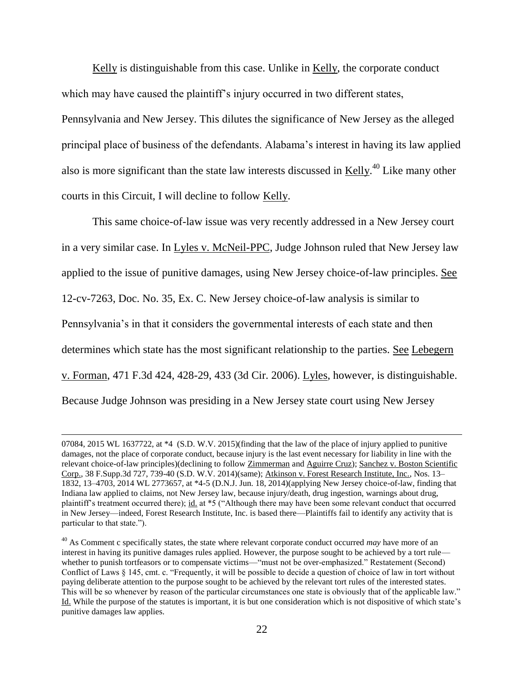Kelly is distinguishable from this case. Unlike in Kelly, the corporate conduct which may have caused the plaintiff's injury occurred in two different states, Pennsylvania and New Jersey. This dilutes the significance of New Jersey as the alleged principal place of business of the defendants. Alabama's interest in having its law applied also is more significant than the state law interests discussed in  $Kelly$ .<sup>40</sup> Like many other courts in this Circuit, I will decline to follow Kelly.

This same choice-of-law issue was very recently addressed in a New Jersey court in a very similar case. In Lyles v. McNeil-PPC, Judge Johnson ruled that New Jersey law applied to the issue of punitive damages, using New Jersey choice-of-law principles. See 12-cv-7263, Doc. No. 35, Ex. C. New Jersey choice-of-law analysis is similar to Pennsylvania's in that it considers the governmental interests of each state and then determines which state has the most significant relationship to the parties. See Lebegern v. Forman, 471 F.3d 424, 428-29, 433 (3d Cir. 2006). Lyles, however, is distinguishable. Because Judge Johnson was presiding in a New Jersey state court using New Jersey

 $\overline{a}$ 

<sup>07084, 2015</sup> WL 1637722, at \*4 (S.D. W.V. 2015)(finding that the law of the place of injury applied to punitive damages, not the place of corporate conduct, because injury is the last event necessary for liability in line with the relevant choice-of-law principles)(declining to follow Zimmerman and Aguirre Cruz); Sanchez v. Boston Scientific Corp., 38 F.Supp.3d 727, 739-40 (S.D. W.V. 2014)(same); Atkinson v. Forest Research Institute, Inc., Nos. 13– 1832, 13–4703, 2014 WL 2773657, at \*4-5 (D.N.J. Jun. 18, 2014)(applying New Jersey choice-of-law, finding that Indiana law applied to claims, not New Jersey law, because injury/death, drug ingestion, warnings about drug, plaintiff's treatment occurred there); id. at \*5 ("Although there may have been some relevant conduct that occurred in New Jersey—indeed, Forest Research Institute, Inc. is based there—Plaintiffs fail to identify any activity that is particular to that state.").

<sup>40</sup> As Comment c specifically states, the state where relevant corporate conduct occurred *may* have more of an interest in having its punitive damages rules applied. However, the purpose sought to be achieved by a tort rule whether to punish tortfeasors or to compensate victims—"must not be over-emphasized." Restatement (Second) Conflict of Laws § 145, cmt. c. "Frequently, it will be possible to decide a question of choice of law in tort without paying deliberate attention to the purpose sought to be achieved by the relevant tort rules of the interested states. This will be so whenever by reason of the particular circumstances one state is obviously that of the applicable law." Id. While the purpose of the statutes is important, it is but one consideration which is not dispositive of which state's punitive damages law applies.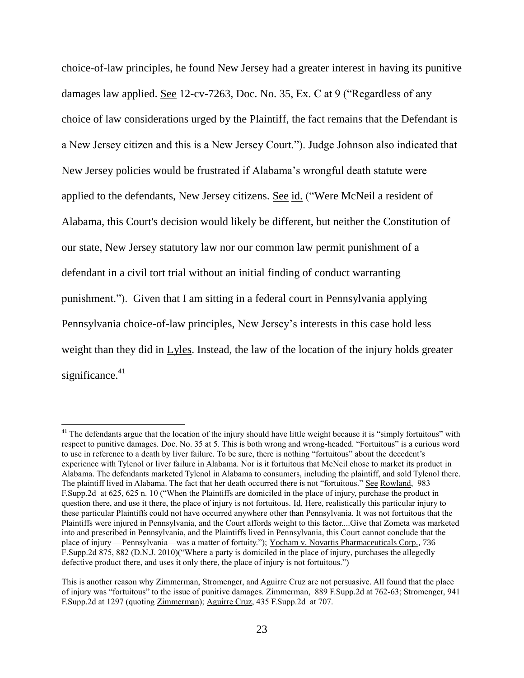choice-of-law principles, he found New Jersey had a greater interest in having its punitive damages law applied. See 12-cv-7263, Doc. No. 35, Ex. C at 9 ("Regardless of any choice of law considerations urged by the Plaintiff, the fact remains that the Defendant is a New Jersey citizen and this is a New Jersey Court."). Judge Johnson also indicated that New Jersey policies would be frustrated if Alabama's wrongful death statute were applied to the defendants, New Jersey citizens. See id. ("Were McNeil a resident of Alabama, this Court's decision would likely be different, but neither the Constitution of our state, New Jersey statutory law nor our common law permit punishment of a defendant in a civil tort trial without an initial finding of conduct warranting punishment."). Given that I am sitting in a federal court in Pennsylvania applying Pennsylvania choice-of-law principles, New Jersey's interests in this case hold less weight than they did in Lyles. Instead, the law of the location of the injury holds greater significance.<sup>41</sup>

<sup>&</sup>lt;sup>41</sup> The defendants argue that the location of the injury should have little weight because it is "simply fortuitous" with respect to punitive damages. Doc. No. 35 at 5. This is both wrong and wrong-headed. "Fortuitous" is a curious word to use in reference to a death by liver failure. To be sure, there is nothing "fortuitous" about the decedent's experience with Tylenol or liver failure in Alabama. Nor is it fortuitous that McNeil chose to market its product in Alabama. The defendants marketed Tylenol in Alabama to consumers, including the plaintiff, and sold Tylenol there. The plaintiff lived in Alabama. The fact that her death occurred there is not "fortuitous." See Rowland, 983 F.Supp.2d at 625, 625 n. 10 ("When the Plaintiffs are domiciled in the place of injury, purchase the product in question there, and use it there, the place of injury is not fortuitous. Id. Here, realistically this particular injury to these particular Plaintiffs could not have occurred anywhere other than Pennsylvania. It was not fortuitous that the Plaintiffs were injured in Pennsylvania, and the Court affords weight to this factor....Give that Zometa was marketed into and prescribed in Pennsylvania, and the Plaintiffs lived in Pennsylvania, this Court cannot conclude that the place of injury —Pennsylvania—was a matter of fortuity."); Yocham v. Novartis Pharmaceuticals Corp., 736 F.Supp.2d 875, 882 (D.N.J. 2010)("Where a party is domiciled in the place of injury, purchases the allegedly defective product there, and uses it only there, the place of injury is not fortuitous.")

This is another reason why Zimmerman, Stromenger, and Aguirre Cruz are not persuasive. All found that the place of injury was "fortuitous" to the issue of punitive damages. Zimmerman, 889 F.Supp.2d at 762-63; Stromenger, 941 F.Supp.2d at 1297 (quoting Zimmerman); Aguirre Cruz, 435 F.Supp.2d at 707.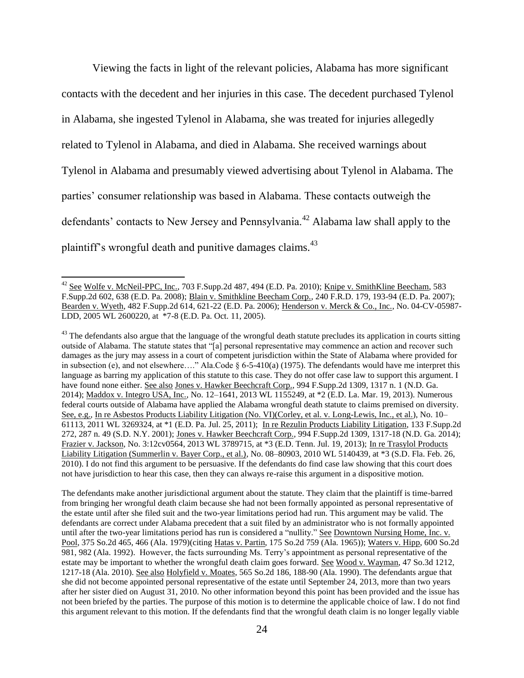Viewing the facts in light of the relevant policies, Alabama has more significant contacts with the decedent and her injuries in this case. The decedent purchased Tylenol in Alabama, she ingested Tylenol in Alabama, she was treated for injuries allegedly related to Tylenol in Alabama, and died in Alabama. She received warnings about Tylenol in Alabama and presumably viewed advertising about Tylenol in Alabama. The parties' consumer relationship was based in Alabama. These contacts outweigh the defendants' contacts to New Jersey and Pennsylvania.<sup>42</sup> Alabama law shall apply to the plaintiff's wrongful death and punitive damages claims.<sup>43</sup>

 $\overline{\phantom{a}}$ 

The defendants make another jurisdictional argument about the statute. They claim that the plaintiff is time-barred from bringing her wrongful death claim because she had not been formally appointed as personal representative of the estate until after she filed suit and the two-year limitations period had run. This argument may be valid. The defendants are correct under Alabama precedent that a suit filed by an administrator who is not formally appointed until after the two-year limitations period has run is considered a "nullity." See Downtown Nursing Home, Inc. v. Pool, 375 So.2d 465, 466 (Ala. 1979)(citing Hatas v. Partin, 175 So.2d 759 (Ala. 1965)); Waters v. Hipp, 600 So.2d 981, 982 (Ala. 1992). However, the facts surrounding Ms. Terry's appointment as personal representative of the estate may be important to whether the wrongful death claim goes forward. See Wood v. Wayman, 47 So.3d 1212, 1217-18 (Ala. 2010). See also Holyfield v. Moates, 565 So.2d 186, 188-90 (Ala. 1990). The defendants argue that she did not become appointed personal representative of the estate until September 24, 2013, more than two years after her sister died on August 31, 2010. No other information beyond this point has been provided and the issue has not been briefed by the parties. The purpose of this motion is to determine the applicable choice of law. I do not find this argument relevant to this motion. If the defendants find that the wrongful death claim is no longer legally viable

<sup>&</sup>lt;sup>42</sup> See Wolfe v. McNeil-PPC, Inc., 703 F.Supp.2d 487, 494 (E.D. Pa. 2010); Knipe v. SmithKline Beecham, 583 F.Supp.2d 602, 638 (E.D. Pa. 2008); Blain v. Smithkline Beecham Corp., 240 F.R.D. 179, 193-94 (E.D. Pa. 2007); Bearden v. Wyeth, 482 F.Supp.2d 614, 621-22 (E.D. Pa. 2006); Henderson v. Merck & Co., Inc., No. 04-CV-05987- LDD, 2005 WL 2600220, at \*7-8 (E.D. Pa. Oct. 11, 2005).

 $43$  The defendants also argue that the language of the wrongful death statute precludes its application in courts sitting outside of Alabama. The statute states that "[a] personal representative may commence an action and recover such damages as the jury may assess in a court of competent jurisdiction within the State of Alabama where provided for in subsection (e), and not elsewhere…." Ala.Code § 6-5-410(a) (1975). The defendants would have me interpret this language as barring my application of this statute to this case. They do not offer case law to support this argument. I have found none either. See also Jones v. Hawker Beechcraft Corp., 994 F.Supp.2d 1309, 1317 n. 1 (N.D. Ga. 2014); Maddox v. Integro USA, Inc., No. 12–1641, 2013 WL 1155249, at \*2 (E.D. La. Mar. 19, 2013). Numerous federal courts outside of Alabama have applied the Alabama wrongful death statute to claims premised on diversity. See, e.g., In re Asbestos Products Liability Litigation (No. VI)(Corley, et al. v. Long-Lewis, Inc., et al.), No. 10– 61113, 2011 WL 3269324, at \*1 (E.D. Pa. Jul. 25, 2011); In re Rezulin Products Liability Litigation, 133 F.Supp.2d 272, 287 n. 49 (S.D. N.Y. 2001); Jones v. Hawker Beechcraft Corp., 994 F.Supp.2d 1309, 1317-18 (N.D. Ga. 2014); Frazier v. Jackson, No. 3:12cv0564, 2013 WL 3789715, at \*3 (E.D. Tenn. Jul. 19, 2013); In re Trasylol Products Liability Litigation (Summerlin v. Bayer Corp., et al.), No. 08–80903, 2010 WL 5140439, at \*3 (S.D. Fla. Feb. 26, 2010). I do not find this argument to be persuasive. If the defendants do find case law showing that this court does not have jurisdiction to hear this case, then they can always re-raise this argument in a dispositive motion.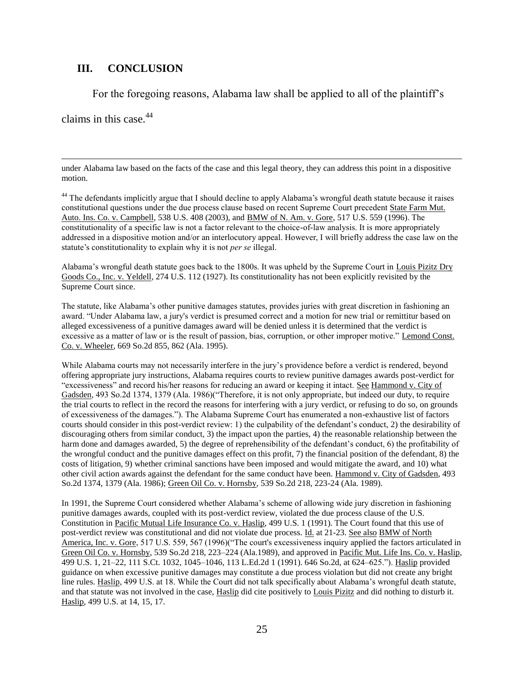# **III. CONCLUSION**

For the foregoing reasons, Alabama law shall be applied to all of the plaintiff's

claims in this case. $44$ 

 $\overline{\phantom{a}}$ 

under Alabama law based on the facts of the case and this legal theory, they can address this point in a dispositive motion.

<sup>44</sup> The defendants implicitly argue that I should decline to apply Alabama's wrongful death statute because it raises constitutional questions under the due process clause based on recent Supreme Court precedent State Farm Mut. Auto. Ins. Co. v. Campbell, 538 U.S. 408 (2003), and BMW of N. Am. v. Gore, 517 U.S. 559 (1996). The constitutionality of a specific law is not a factor relevant to the choice-of-law analysis. It is more appropriately addressed in a dispositive motion and/or an interlocutory appeal. However, I will briefly address the case law on the statute's constitutionality to explain why it is not *per se* illegal.

Alabama's wrongful death statute goes back to the 1800s. It was upheld by the Supreme Court in Louis Pizitz Dry Goods Co., Inc. v. Yeldell, 274 U.S. 112 (1927). Its constitutionality has not been explicitly revisited by the Supreme Court since.

The statute, like Alabama's other punitive damages statutes, provides juries with great discretion in fashioning an award. "Under Alabama law, a jury's verdict is presumed correct and a motion for new trial or remittitur based on alleged excessiveness of a punitive damages award will be denied unless it is determined that the verdict is excessive as a matter of law or is the result of passion, bias, corruption, or other improper motive." Lemond Const. Co. v. Wheeler, 669 So.2d 855, 862 (Ala. 1995).

While Alabama courts may not necessarily interfere in the jury's providence before a verdict is rendered, beyond offering appropriate jury instructions, Alabama requires courts to review punitive damages awards post-verdict for "excessiveness" and record his/her reasons for reducing an award or keeping it intact. See Hammond v. City of Gadsden, 493 So.2d 1374, 1379 (Ala. 1986)("Therefore, it is not only appropriate, but indeed our duty, to require the trial courts to reflect in the record the reasons for interfering with a jury verdict, or refusing to do so, on grounds of excessiveness of the damages."). The Alabama Supreme Court has enumerated a non-exhaustive list of factors courts should consider in this post-verdict review: 1) the culpability of the defendant's conduct, 2) the desirability of discouraging others from similar conduct, 3) the impact upon the parties, 4) the reasonable relationship between the harm done and damages awarded, 5) the degree of reprehensibility of the defendant's conduct, 6) the profitability of the wrongful conduct and the punitive damages effect on this profit, 7) the financial position of the defendant, 8) the costs of litigation, 9) whether criminal sanctions have been imposed and would mitigate the award, and 10) what other civil action awards against the defendant for the same conduct have been. Hammond v. City of Gadsden, 493 So.2d 1374, 1379 (Ala. 1986); Green Oil Co. v. Hornsby, 539 So.2d 218, 223-24 (Ala. 1989).

In 1991, the Supreme Court considered whether Alabama's scheme of allowing wide jury discretion in fashioning punitive damages awards, coupled with its post-verdict review, violated the due process clause of the U.S. Constitution in Pacific Mutual Life Insurance Co. v. Haslip, 499 U.S. 1 (1991). The Court found that this use of post-verdict review was constitutional and did not violate due process. Id. at 21-23. See also BMW of North America, Inc. v. Gore, 517 U.S. 559, 567 (1996)("The court's excessiveness inquiry applied the factors articulated in Green Oil Co. v. Hornsby, 539 So.2d 218, 223–224 (Ala.1989), and approved in Pacific Mut. Life Ins. Co. v. Haslip, 499 U.S. 1, 21–22, 111 S.Ct. 1032, 1045–1046, 113 L.Ed.2d 1 (1991). 646 So.2d, at 624–625."). Haslip provided guidance on when excessive punitive damages may constitute a due process violation but did not create any bright line rules. Haslip, 499 U.S. at 18. While the Court did not talk specifically about Alabama's wrongful death statute, and that statute was not involved in the case, Haslip did cite positively to Louis Pizitz and did nothing to disturb it. Haslip, 499 U.S. at 14, 15, 17.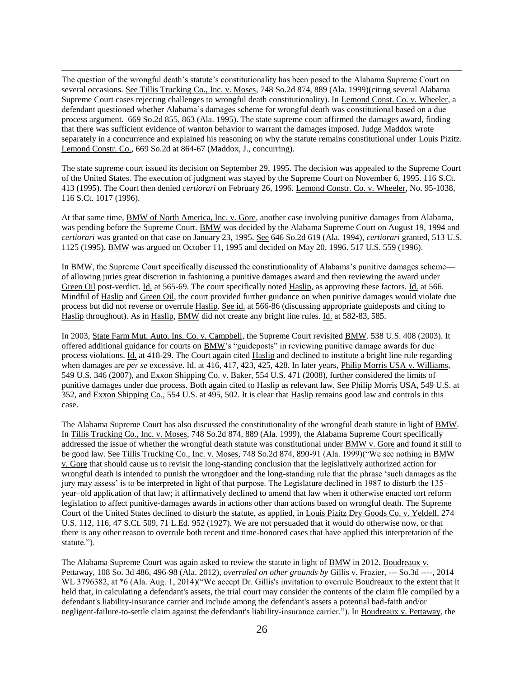$\overline{\phantom{a}}$ The question of the wrongful death's statute's constitutionality has been posed to the Alabama Supreme Court on several occasions. See Tillis Trucking Co., Inc. v. Moses, 748 So.2d 874, 889 (Ala. 1999)(citing several Alabama Supreme Court cases rejecting challenges to wrongful death constitutionality). In Lemond Const. Co. v. Wheeler, a defendant questioned whether Alabama's damages scheme for wrongful death was constitutional based on a due process argument. 669 So.2d 855, 863 (Ala. 1995). The state supreme court affirmed the damages award, finding that there was sufficient evidence of wanton behavior to warrant the damages imposed. Judge Maddox wrote separately in a concurrence and explained his reasoning on why the statute remains constitutional under Louis Pizitz. Lemond Constr. Co., 669 So.2d at 864-67 (Maddox, J., concurring).

The state supreme court issued its decision on September 29, 1995. The decision was appealed to the Supreme Court of the United States. The execution of judgment was stayed by the Supreme Court on November 6, 1995. 116 S.Ct. 413 (1995). The Court then denied *certiorari* on February 26, 1996. Lemond Constr. Co. v. Wheeler, No. 95-1038, 116 S.Ct. 1017 (1996).

At that same time, BMW of North America, Inc. v. Gore, another case involving punitive damages from Alabama, was pending before the Supreme Court. BMW was decided by the Alabama Supreme Court on August 19, 1994 and *certiorari* was granted on that case on January 23, 1995. See 646 So.2d 619 (Ala. 1994), *certiorari* granted, 513 U.S. 1125 (1995). BMW was argued on October 11, 1995 and decided on May 20, 1996. 517 U.S. 559 (1996).

In BMW, the Supreme Court specifically discussed the constitutionality of Alabama's punitive damages scheme of allowing juries great discretion in fashioning a punitive damages award and then reviewing the award under Green Oil post-verdict. Id. at 565-69. The court specifically noted Haslip, as approving these factors. Id. at 566. Mindful of Haslip and Green Oil, the court provided further guidance on when punitive damages would violate due process but did not reverse or overrule Haslip. See id. at 566-86 (discussing appropriate guideposts and citing to Haslip throughout). As in Haslip, BMW did not create any bright line rules. Id. at 582-83, 585.

In 2003, State Farm Mut. Auto. Ins. Co. v. Campbell, the Supreme Court revisited BMW. 538 U.S. 408 (2003). It offered additional guidance for courts on BMW's "guideposts" in reviewing punitive damage awards for due process violations. Id. at 418-29. The Court again cited Haslip and declined to institute a bright line rule regarding when damages are *per se* excessive. Id. at 416, 417, 423, 425, 428. In later years, Philip Morris USA v. Williams, 549 U.S. 346 (2007), and Exxon Shipping Co. v. Baker, 554 U.S. 471 (2008), further considered the limits of punitive damages under due process. Both again cited to Haslip as relevant law. See Philip Morris USA, 549 U.S. at 352, and Exxon Shipping Co., 554 U.S. at 495, 502. It is clear that Haslip remains good law and controls in this case.

The Alabama Supreme Court has also discussed the constitutionality of the wrongful death statute in light of BMW. In Tillis Trucking Co., Inc. v. Moses, 748 So.2d 874, 889 (Ala. 1999), the Alabama Supreme Court specifically addressed the issue of whether the wrongful death statute was constitutional under BMW v. Gore and found it still to be good law. See Tillis Trucking Co., Inc. v. Moses, 748 So.2d 874, 890-91 (Ala. 1999)("We see nothing in BMW v. Gore that should cause us to revisit the long-standing conclusion that the legislatively authorized action for wrongful death is intended to punish the wrongdoer and the long-standing rule that the phrase 'such damages as the jury may assess' is to be interpreted in light of that purpose. The Legislature declined in 1987 to disturb the 135– year–old application of that law; it affirmatively declined to amend that law when it otherwise enacted tort reform legislation to affect punitive-damages awards in actions other than actions based on wrongful death. The Supreme Court of the United States declined to disturb the statute, as applied, in Louis Pizitz Dry Goods Co. v. Yeldell, 274 U.S. 112, 116, 47 S.Ct. 509, 71 L.Ed. 952 (1927). We are not persuaded that it would do otherwise now, or that there is any other reason to overrule both recent and time-honored cases that have applied this interpretation of the statute.").

The Alabama Supreme Court was again asked to review the statute in light of BMW in 2012. Boudreaux v. Pettaway, 108 So. 3d 486, 496-98 (Ala. 2012), *overruled on other grounds by* Gillis v. Frazier, --- So.3d ----, 2014 WL 3796382, at  $*6$  (Ala. Aug. 1, 2014)("We accept Dr. Gillis's invitation to overrule Boudreaux to the extent that it held that, in calculating a defendant's assets, the trial court may consider the contents of the claim file compiled by a defendant's liability-insurance carrier and include among the defendant's assets a potential bad-faith and/or negligent-failure-to-settle claim against the defendant's liability-insurance carrier."). In Boudreaux v. Pettaway, the